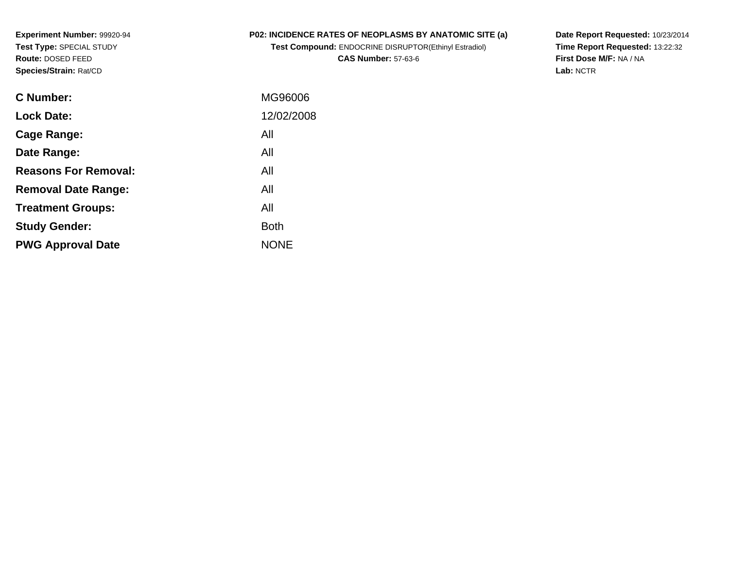### **P02: INCIDENCE RATES OF NEOPLASMS BY ANATOMIC SITE (a)**

**Test Compound:** ENDOCRINE DISRUPTOR(Ethinyl Estradiol)**CAS Number:** 57-63-6

**Date Report Requested:** 10/23/2014 **Time Report Requested:** 13:22:32**First Dose M/F:** NA / NA**Lab:** NCTR

| C Number:                   | MG96006     |
|-----------------------------|-------------|
| <b>Lock Date:</b>           | 12/02/2008  |
| Cage Range:                 | All         |
| Date Range:                 | All         |
| <b>Reasons For Removal:</b> | All         |
| <b>Removal Date Range:</b>  | All         |
| <b>Treatment Groups:</b>    | All         |
| <b>Study Gender:</b>        | <b>Both</b> |
| <b>PWG Approval Date</b>    | <b>NONE</b> |
|                             |             |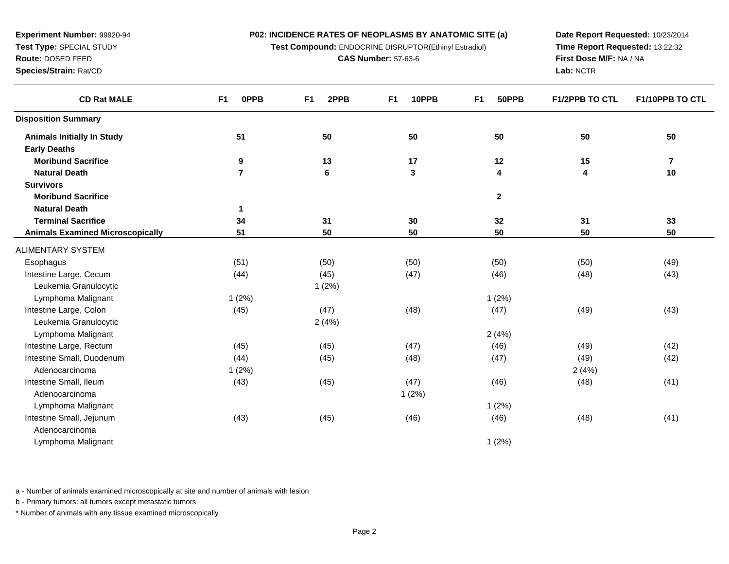**Test Compound:** ENDOCRINE DISRUPTOR(Ethinyl Estradiol)

**CAS Number:** 57-63-6

**Date Report Requested:** 10/23/2014**Time Report Requested:** 13:22:32**First Dose M/F:** NA / NA**Lab:** NCTR

| <b>CD Rat MALE</b>                      | <b>OPPB</b><br>F <sub>1</sub> | 2PPB<br>F <sub>1</sub> | 10PPB<br>F <sub>1</sub> | 50PPB<br>F <sub>1</sub> | F1/2PPB TO CTL | F1/10PPB TO CTL |
|-----------------------------------------|-------------------------------|------------------------|-------------------------|-------------------------|----------------|-----------------|
| <b>Disposition Summary</b>              |                               |                        |                         |                         |                |                 |
| <b>Animals Initially In Study</b>       | 51                            | 50                     | 50                      | 50                      | 50             | 50              |
| <b>Early Deaths</b>                     |                               |                        |                         |                         |                |                 |
| <b>Moribund Sacrifice</b>               | 9                             | 13                     | 17                      | $12$                    | 15             | $\bf 7$         |
| <b>Natural Death</b>                    | $\overline{7}$                | 6                      | $\mathbf{3}$            | 4                       | 4              | 10              |
| <b>Survivors</b>                        |                               |                        |                         |                         |                |                 |
| <b>Moribund Sacrifice</b>               |                               |                        |                         | $\mathbf{2}$            |                |                 |
| <b>Natural Death</b>                    | 1                             |                        |                         |                         |                |                 |
| <b>Terminal Sacrifice</b>               | 34                            | 31                     | 30                      | 32                      | 31             | 33              |
| <b>Animals Examined Microscopically</b> | 51                            | 50                     | 50                      | 50                      | 50             | 50              |
| <b>ALIMENTARY SYSTEM</b>                |                               |                        |                         |                         |                |                 |
| Esophagus                               | (51)                          | (50)                   | (50)                    | (50)                    | (50)           | (49)            |
| Intestine Large, Cecum                  | (44)                          | (45)                   | (47)                    | (46)                    | (48)           | (43)            |
| Leukemia Granulocytic                   |                               | 1(2%)                  |                         |                         |                |                 |
| Lymphoma Malignant                      | 1(2%)                         |                        |                         | 1(2%)                   |                |                 |
| Intestine Large, Colon                  | (45)                          | (47)                   | (48)                    | (47)                    | (49)           | (43)            |
| Leukemia Granulocytic                   |                               | 2(4%)                  |                         |                         |                |                 |
| Lymphoma Malignant                      |                               |                        |                         | 2(4%)                   |                |                 |
| Intestine Large, Rectum                 | (45)                          | (45)                   | (47)                    | (46)                    | (49)           | (42)            |
| Intestine Small, Duodenum               | (44)                          | (45)                   | (48)                    | (47)                    | (49)           | (42)            |
| Adenocarcinoma                          | 1(2%)                         |                        |                         |                         | 2(4%)          |                 |
| Intestine Small, Ileum                  | (43)                          | (45)                   | (47)                    | (46)                    | (48)           | (41)            |
| Adenocarcinoma                          |                               |                        | 1(2%)                   |                         |                |                 |
| Lymphoma Malignant                      |                               |                        |                         | 1(2%)                   |                |                 |
| Intestine Small, Jejunum                | (43)                          | (45)                   | (46)                    | (46)                    | (48)           | (41)            |
| Adenocarcinoma                          |                               |                        |                         |                         |                |                 |
| Lymphoma Malignant                      |                               |                        |                         | 1(2%)                   |                |                 |

a - Number of animals examined microscopically at site and number of animals with lesion

b - Primary tumors: all tumors except metastatic tumors

**Experiment Number:** 99920-94**Test Type:** SPECIAL STUDY**Route:** DOSED FEED**Species/Strain:** Rat/CD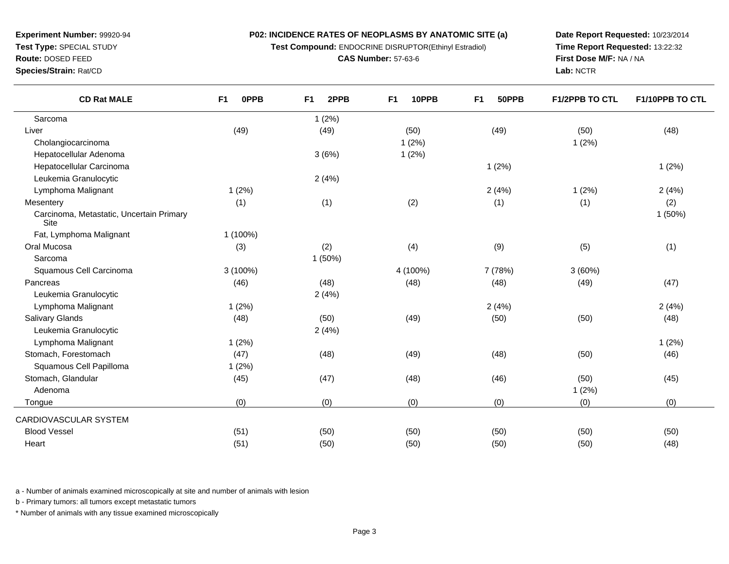**Test Compound:** ENDOCRINE DISRUPTOR(Ethinyl Estradiol)

**CAS Number:** 57-63-6

**Date Report Requested:** 10/23/2014 **Time Report Requested:** 13:22:32**First Dose M/F:** NA / NA**Lab:** NCTR

**Test Type:** SPECIAL STUDY

**Route:** DOSED FEED

 $\overline{\phantom{a}}$ 

**Species/Strain:** Rat/CD

| <b>CD Rat MALE</b>                               | F <sub>1</sub><br>0PPB | 2PPB<br>F <sub>1</sub> | 10PPB<br>F <sub>1</sub> | F <sub>1</sub><br>50PPB | <b>F1/2PPB TO CTL</b> | F1/10PPB TO CTL |
|--------------------------------------------------|------------------------|------------------------|-------------------------|-------------------------|-----------------------|-----------------|
| Sarcoma                                          |                        | 1(2%)                  |                         |                         |                       |                 |
| Liver                                            | (49)                   | (49)                   | (50)                    | (49)                    | (50)                  | (48)            |
| Cholangiocarcinoma                               |                        |                        | 1(2%)                   |                         | 1(2%)                 |                 |
| Hepatocellular Adenoma                           |                        | 3(6%)                  | 1(2%)                   |                         |                       |                 |
| Hepatocellular Carcinoma                         |                        |                        |                         | 1(2%)                   |                       | 1(2%)           |
| Leukemia Granulocytic                            |                        | 2(4%)                  |                         |                         |                       |                 |
| Lymphoma Malignant                               | 1(2%)                  |                        |                         | 2(4%)                   | 1(2%)                 | 2(4%)           |
| Mesentery                                        | (1)                    | (1)                    | (2)                     | (1)                     | (1)                   | (2)             |
| Carcinoma, Metastatic, Uncertain Primary<br>Site |                        |                        |                         |                         |                       | 1(50%)          |
| Fat, Lymphoma Malignant                          | 1 (100%)               |                        |                         |                         |                       |                 |
| Oral Mucosa                                      | (3)                    | (2)                    | (4)                     | (9)                     | (5)                   | (1)             |
| Sarcoma                                          |                        | 1(50%)                 |                         |                         |                       |                 |
| Squamous Cell Carcinoma                          | 3 (100%)               |                        | 4 (100%)                | 7 (78%)                 | 3(60%)                |                 |
| Pancreas                                         | (46)                   | (48)                   | (48)                    | (48)                    | (49)                  | (47)            |
| Leukemia Granulocytic                            |                        | 2(4%)                  |                         |                         |                       |                 |
| Lymphoma Malignant                               | 1(2%)                  |                        |                         | 2(4%)                   |                       | 2(4%)           |
| <b>Salivary Glands</b>                           | (48)                   | (50)                   | (49)                    | (50)                    | (50)                  | (48)            |
| Leukemia Granulocytic                            |                        | 2(4%)                  |                         |                         |                       |                 |
| Lymphoma Malignant                               | 1(2%)                  |                        |                         |                         |                       | 1(2%)           |
| Stomach, Forestomach                             | (47)                   | (48)                   | (49)                    | (48)                    | (50)                  | (46)            |
| Squamous Cell Papilloma                          | 1(2%)                  |                        |                         |                         |                       |                 |
| Stomach, Glandular                               | (45)                   | (47)                   | (48)                    | (46)                    | (50)                  | (45)            |
| Adenoma                                          |                        |                        |                         |                         | 1(2%)                 |                 |
| Tongue                                           | (0)                    | (0)                    | (0)                     | (0)                     | (0)                   | (0)             |
| CARDIOVASCULAR SYSTEM                            |                        |                        |                         |                         |                       |                 |
| <b>Blood Vessel</b>                              | (51)                   | (50)                   | (50)                    | (50)                    | (50)                  | (50)            |
| Heart                                            | (51)                   | (50)                   | (50)                    | (50)                    | (50)                  | (48)            |

a - Number of animals examined microscopically at site and number of animals with lesion

b - Primary tumors: all tumors except metastatic tumors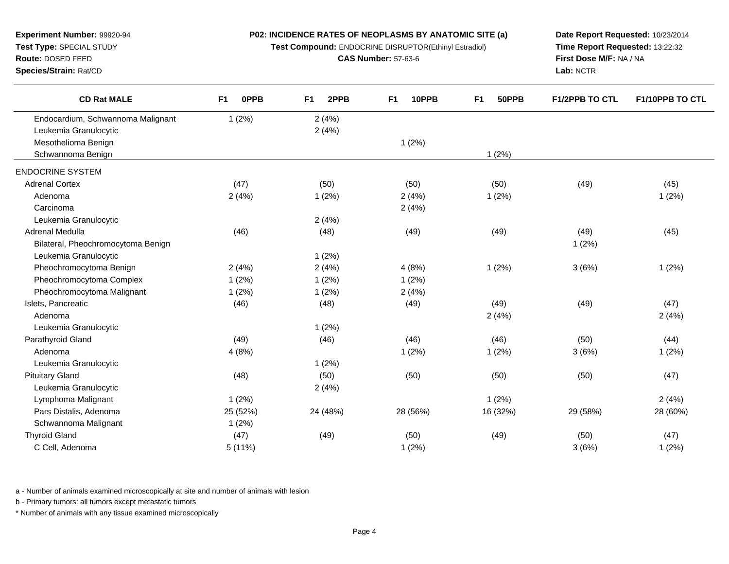**Test Compound:** ENDOCRINE DISRUPTOR(Ethinyl Estradiol)

**CAS Number:** 57-63-6

**Date Report Requested:** 10/23/2014 **Time Report Requested:** 13:22:32**First Dose M/F:** NA / NA**Lab:** NCTR

| <b>CD Rat MALE</b>                 | F1<br>0PPB | F1<br>2PPB | F1<br>10PPB | F <sub>1</sub><br>50PPB | <b>F1/2PPB TO CTL</b> | <b>F1/10PPB TO CTL</b> |
|------------------------------------|------------|------------|-------------|-------------------------|-----------------------|------------------------|
| Endocardium, Schwannoma Malignant  | 1(2%)      | 2(4%)      |             |                         |                       |                        |
| Leukemia Granulocytic              |            | 2(4%)      |             |                         |                       |                        |
| Mesothelioma Benign                |            |            | 1(2%)       |                         |                       |                        |
| Schwannoma Benign                  |            |            |             | 1(2%)                   |                       |                        |
| <b>ENDOCRINE SYSTEM</b>            |            |            |             |                         |                       |                        |
| <b>Adrenal Cortex</b>              | (47)       | (50)       | (50)        | (50)                    | (49)                  | (45)                   |
| Adenoma                            | 2(4%)      | 1(2%)      | 2(4%)       | 1(2%)                   |                       | 1(2%)                  |
| Carcinoma                          |            |            | 2(4%)       |                         |                       |                        |
| Leukemia Granulocytic              |            | 2(4%)      |             |                         |                       |                        |
| Adrenal Medulla                    | (46)       | (48)       | (49)        | (49)                    | (49)                  | (45)                   |
| Bilateral, Pheochromocytoma Benign |            |            |             |                         | 1(2%)                 |                        |
| Leukemia Granulocytic              |            | 1(2%)      |             |                         |                       |                        |
| Pheochromocytoma Benign            | 2(4%)      | 2(4%)      | 4(8%)       | 1(2%)                   | 3(6%)                 | 1(2%)                  |
| Pheochromocytoma Complex           | 1(2%)      | 1(2%)      | 1(2%)       |                         |                       |                        |
| Pheochromocytoma Malignant         | 1(2%)      | 1(2%)      | 2(4%)       |                         |                       |                        |
| Islets, Pancreatic                 | (46)       | (48)       | (49)        | (49)                    | (49)                  | (47)                   |
| Adenoma                            |            |            |             | 2(4%)                   |                       | 2(4%)                  |
| Leukemia Granulocytic              |            | 1(2%)      |             |                         |                       |                        |
| Parathyroid Gland                  | (49)       | (46)       | (46)        | (46)                    | (50)                  | (44)                   |
| Adenoma                            | 4(8%)      |            | 1(2%)       | 1(2%)                   | 3(6%)                 | 1(2%)                  |
| Leukemia Granulocytic              |            | 1(2%)      |             |                         |                       |                        |
| <b>Pituitary Gland</b>             | (48)       | (50)       | (50)        | (50)                    | (50)                  | (47)                   |
| Leukemia Granulocytic              |            | 2(4%)      |             |                         |                       |                        |
| Lymphoma Malignant                 | 1(2%)      |            |             | 1(2%)                   |                       | 2(4%)                  |
| Pars Distalis, Adenoma             | 25 (52%)   | 24 (48%)   | 28 (56%)    | 16 (32%)                | 29 (58%)              | 28 (60%)               |
| Schwannoma Malignant               | 1(2%)      |            |             |                         |                       |                        |
| <b>Thyroid Gland</b>               | (47)       | (49)       | (50)        | (49)                    | (50)                  | (47)                   |
| C Cell, Adenoma                    | 5(11%)     |            | 1(2%)       |                         | 3(6%)                 | 1(2%)                  |
|                                    |            |            |             |                         |                       |                        |

a - Number of animals examined microscopically at site and number of animals with lesion

b - Primary tumors: all tumors except metastatic tumors

**Experiment Number:** 99920-94**Test Type:** SPECIAL STUDY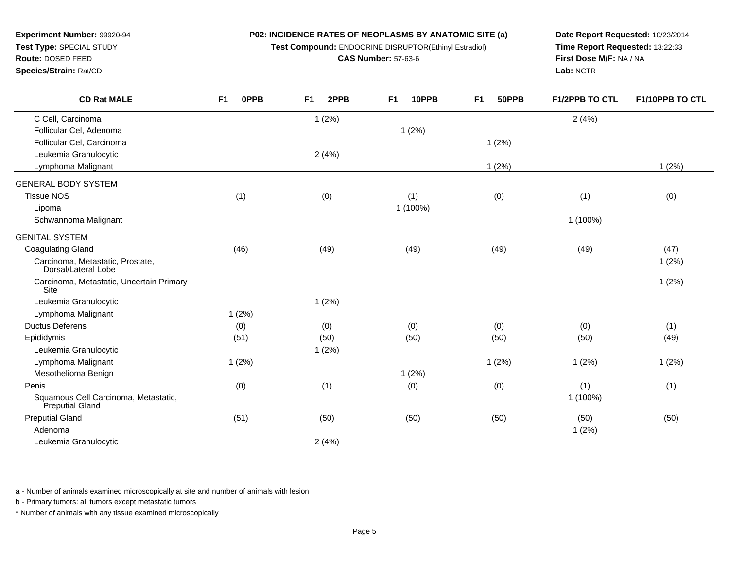**Test Compound:** ENDOCRINE DISRUPTOR(Ethinyl Estradiol)

**CAS Number:** 57-63-6

**F1 2PPB F1 10PPB F1 50PPB F1/2PPB TO CTL F1/10PPB TO CTL**

**Date Report Requested:** 10/23/2014**Time Report Requested:** 13:22:33**First Dose M/F:** NA / NA**Lab:** NCTR

| C Cell, Carcinoma                                       |       | 1(2%) |          |       | 2(4%)    |       |
|---------------------------------------------------------|-------|-------|----------|-------|----------|-------|
| Follicular Cel, Adenoma                                 |       |       | 1(2%)    |       |          |       |
| Follicular Cel, Carcinoma                               |       |       |          | 1(2%) |          |       |
| Leukemia Granulocytic                                   |       | 2(4%) |          |       |          |       |
| Lymphoma Malignant                                      |       |       |          | 1(2%) |          | 1(2%) |
| <b>GENERAL BODY SYSTEM</b>                              |       |       |          |       |          |       |
| <b>Tissue NOS</b>                                       | (1)   | (0)   | (1)      | (0)   | (1)      | (0)   |
| Lipoma                                                  |       |       | 1 (100%) |       |          |       |
| Schwannoma Malignant                                    |       |       |          |       | 1 (100%) |       |
| <b>GENITAL SYSTEM</b>                                   |       |       |          |       |          |       |
| <b>Coagulating Gland</b>                                | (46)  | (49)  | (49)     | (49)  | (49)     | (47)  |
| Carcinoma, Metastatic, Prostate,<br>Dorsal/Lateral Lobe |       |       |          |       |          | 1(2%) |
| Carcinoma, Metastatic, Uncertain Primary<br>Site        |       |       |          |       |          | 1(2%) |
| Leukemia Granulocytic                                   |       | 1(2%) |          |       |          |       |
| Lymphoma Malignant                                      | 1(2%) |       |          |       |          |       |
| <b>Ductus Deferens</b>                                  | (0)   | (0)   | (0)      | (0)   | (0)      | (1)   |
| Epididymis                                              | (51)  | (50)  | (50)     | (50)  | (50)     | (49)  |
| Leukemia Granulocytic                                   |       | 1(2%) |          |       |          |       |
| Lymphoma Malignant                                      | 1(2%) |       |          | 1(2%) | 1(2%)    | 1(2%) |
| Mesothelioma Benign                                     |       |       | 1(2%)    |       |          |       |
| Penis                                                   | (0)   | (1)   | (0)      | (0)   | (1)      | (1)   |
| Squamous Cell Carcinoma, Metastatic,<br>Preputial Gland |       |       |          |       | 1 (100%) |       |
| <b>Preputial Gland</b>                                  | (51)  | (50)  | (50)     | (50)  | (50)     | (50)  |
| Adenoma                                                 |       |       |          |       | 1(2%)    |       |
|                                                         |       |       |          |       |          |       |

a - Number of animals examined microscopically at site and number of animals with lesion

c  $2(4%)$ 

b - Primary tumors: all tumors except metastatic tumors

Leukemia Granulocytic

\* Number of animals with any tissue examined microscopically

# **Experiment Number:** 99920-94**Test Type:** SPECIAL STUDY**Route:** DOSED FEED

**CD Rat MALE**

**F1 0PPB**

**Species/Strain:** Rat/CD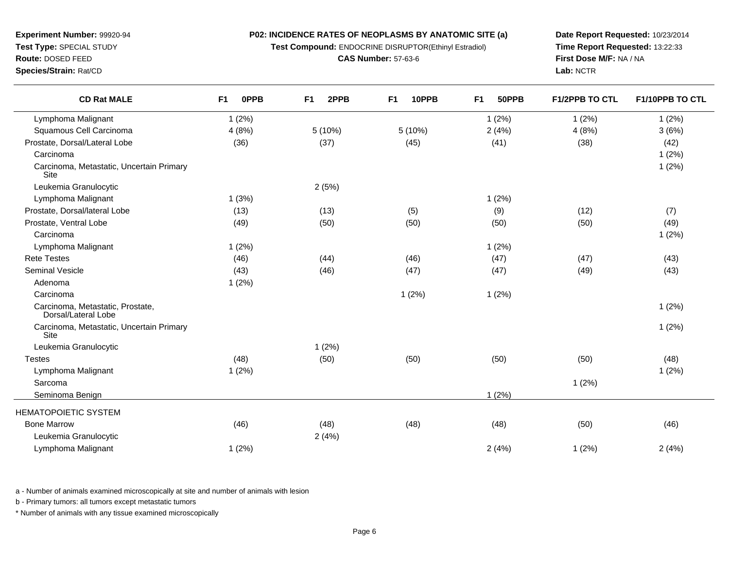**Test Compound:** ENDOCRINE DISRUPTOR(Ethinyl Estradiol)

**CAS Number:** 57-63-6

**Date Report Requested:** 10/23/2014**Time Report Requested:** 13:22:33**First Dose M/F:** NA / NA**Lab:** NCTR

| <b>CD Rat MALE</b>                                      | <b>OPPB</b><br>F <sub>1</sub> | 2PPB<br>F <sub>1</sub> | 10PPB<br>F <sub>1</sub> | 50PPB<br>F <sub>1</sub> | <b>F1/2PPB TO CTL</b> | F1/10PPB TO CTL |
|---------------------------------------------------------|-------------------------------|------------------------|-------------------------|-------------------------|-----------------------|-----------------|
| Lymphoma Malignant                                      | 1(2%)                         |                        |                         | 1(2%)                   | 1(2%)                 | 1(2%)           |
| Squamous Cell Carcinoma                                 | 4(8%)                         | 5(10%)                 | 5 (10%)                 | 2(4%)                   | 4(8%)                 | 3(6%)           |
| Prostate, Dorsal/Lateral Lobe                           | (36)                          | (37)                   | (45)                    | (41)                    | (38)                  | (42)            |
| Carcinoma                                               |                               |                        |                         |                         |                       | 1(2%)           |
| Carcinoma, Metastatic, Uncertain Primary<br>Site        |                               |                        |                         |                         |                       | 1(2%)           |
| Leukemia Granulocytic                                   |                               | 2(5%)                  |                         |                         |                       |                 |
| Lymphoma Malignant                                      | 1(3%)                         |                        |                         | 1(2%)                   |                       |                 |
| Prostate, Dorsal/lateral Lobe                           | (13)                          | (13)                   | (5)                     | (9)                     | (12)                  | (7)             |
| Prostate, Ventral Lobe                                  | (49)                          | (50)                   | (50)                    | (50)                    | (50)                  | (49)            |
| Carcinoma                                               |                               |                        |                         |                         |                       | 1(2%)           |
| Lymphoma Malignant                                      | 1(2%)                         |                        |                         | 1(2%)                   |                       |                 |
| <b>Rete Testes</b>                                      | (46)                          | (44)                   | (46)                    | (47)                    | (47)                  | (43)            |
| <b>Seminal Vesicle</b>                                  | (43)                          | (46)                   | (47)                    | (47)                    | (49)                  | (43)            |
| Adenoma                                                 | 1(2%)                         |                        |                         |                         |                       |                 |
| Carcinoma                                               |                               |                        | 1(2%)                   | 1(2%)                   |                       |                 |
| Carcinoma, Metastatic, Prostate,<br>Dorsal/Lateral Lobe |                               |                        |                         |                         |                       | 1(2%)           |
| Carcinoma, Metastatic, Uncertain Primary<br><b>Site</b> |                               |                        |                         |                         |                       | 1(2%)           |
| Leukemia Granulocytic                                   |                               | 1(2%)                  |                         |                         |                       |                 |
| <b>Testes</b>                                           | (48)                          | (50)                   | (50)                    | (50)                    | (50)                  | (48)            |
| Lymphoma Malignant                                      | 1(2%)                         |                        |                         |                         |                       | 1(2%)           |
| Sarcoma                                                 |                               |                        |                         |                         | 1(2%)                 |                 |
| Seminoma Benign                                         |                               |                        |                         | 1(2%)                   |                       |                 |
| <b>HEMATOPOIETIC SYSTEM</b>                             |                               |                        |                         |                         |                       |                 |
| <b>Bone Marrow</b>                                      | (46)                          | (48)                   | (48)                    | (48)                    | (50)                  | (46)            |
| Leukemia Granulocytic                                   |                               | 2(4%)                  |                         |                         |                       |                 |
| Lymphoma Malignant                                      | 1(2%)                         |                        |                         | 2(4%)                   | 1(2%)                 | 2(4%)           |
|                                                         |                               |                        |                         |                         |                       |                 |

a - Number of animals examined microscopically at site and number of animals with lesion

b - Primary tumors: all tumors except metastatic tumors

\* Number of animals with any tissue examined microscopically

### **Experiment Number:** 99920-94**Test Type:** SPECIAL STUDY

**Route:** DOSED FEED

**Species/Strain:** Rat/CD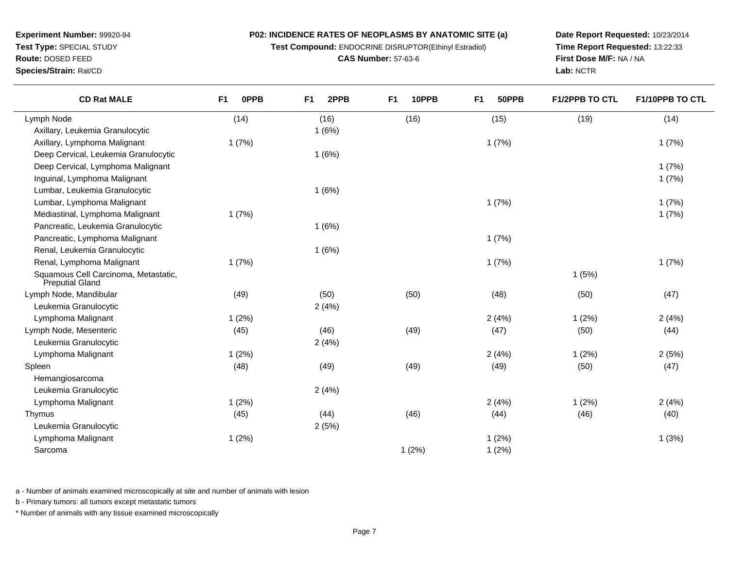**Test Compound:** ENDOCRINE DISRUPTOR(Ethinyl Estradiol)

**CAS Number:** 57-63-6

**Date Report Requested:** 10/23/2014**Time Report Requested:** 13:22:33**First Dose M/F:** NA / NA**Lab:** NCTR

| <b>CD Rat MALE</b>                                      | F <sub>1</sub><br><b>OPPB</b> | F <sub>1</sub><br>2PPB | 10PPB<br>F <sub>1</sub> | F <sub>1</sub><br>50PPB | <b>F1/2PPB TO CTL</b> | F1/10PPB TO CTL |
|---------------------------------------------------------|-------------------------------|------------------------|-------------------------|-------------------------|-----------------------|-----------------|
| Lymph Node                                              | (14)                          | (16)                   | (16)                    | (15)                    | (19)                  | (14)            |
| Axillary, Leukemia Granulocytic                         |                               | 1(6%)                  |                         |                         |                       |                 |
| Axillary, Lymphoma Malignant                            | 1(7%)                         |                        |                         | 1(7%)                   |                       | 1(7%)           |
| Deep Cervical, Leukemia Granulocytic                    |                               | 1(6%)                  |                         |                         |                       |                 |
| Deep Cervical, Lymphoma Malignant                       |                               |                        |                         |                         |                       | 1(7%)           |
| Inguinal, Lymphoma Malignant                            |                               |                        |                         |                         |                       | 1(7%)           |
| Lumbar, Leukemia Granulocytic                           |                               | 1(6%)                  |                         |                         |                       |                 |
| Lumbar, Lymphoma Malignant                              |                               |                        |                         | 1(7%)                   |                       | 1(7%)           |
| Mediastinal, Lymphoma Malignant                         | 1(7%)                         |                        |                         |                         |                       | 1(7%)           |
| Pancreatic, Leukemia Granulocytic                       |                               | 1(6%)                  |                         |                         |                       |                 |
| Pancreatic, Lymphoma Malignant                          |                               |                        |                         | 1(7%)                   |                       |                 |
| Renal, Leukemia Granulocytic                            |                               | 1(6%)                  |                         |                         |                       |                 |
| Renal, Lymphoma Malignant                               | 1(7%)                         |                        |                         | 1(7%)                   |                       | 1(7%)           |
| Squamous Cell Carcinoma, Metastatic,<br>Preputial Gland |                               |                        |                         |                         | 1(5%)                 |                 |
| Lymph Node, Mandibular                                  | (49)                          | (50)                   | (50)                    | (48)                    | (50)                  | (47)            |
| Leukemia Granulocytic                                   |                               | 2(4%)                  |                         |                         |                       |                 |
| Lymphoma Malignant                                      | 1(2%)                         |                        |                         | 2(4%)                   | 1(2%)                 | 2(4%)           |
| Lymph Node, Mesenteric                                  | (45)                          | (46)                   | (49)                    | (47)                    | (50)                  | (44)            |
| Leukemia Granulocytic                                   |                               | 2(4%)                  |                         |                         |                       |                 |
| Lymphoma Malignant                                      | 1(2%)                         |                        |                         | 2(4%)                   | 1(2%)                 | 2(5%)           |
| Spleen                                                  | (48)                          | (49)                   | (49)                    | (49)                    | (50)                  | (47)            |
| Hemangiosarcoma                                         |                               |                        |                         |                         |                       |                 |
| Leukemia Granulocytic                                   |                               | 2(4%)                  |                         |                         |                       |                 |
| Lymphoma Malignant                                      | 1(2%)                         |                        |                         | 2(4%)                   | 1(2%)                 | 2(4%)           |
| Thymus                                                  | (45)                          | (44)                   | (46)                    | (44)                    | (46)                  | (40)            |
| Leukemia Granulocytic                                   |                               | 2(5%)                  |                         |                         |                       |                 |
| Lymphoma Malignant                                      | 1(2%)                         |                        |                         | 1(2%)                   |                       | 1(3%)           |
| Sarcoma                                                 |                               |                        | 1(2%)                   | 1(2%)                   |                       |                 |

a - Number of animals examined microscopically at site and number of animals with lesion

b - Primary tumors: all tumors except metastatic tumors

\* Number of animals with any tissue examined microscopically

**Experiment Number:** 99920-94**Test Type:** SPECIAL STUDY**Route:** DOSED FEED**Species/Strain:** Rat/CD

 $\overline{\phantom{0}}$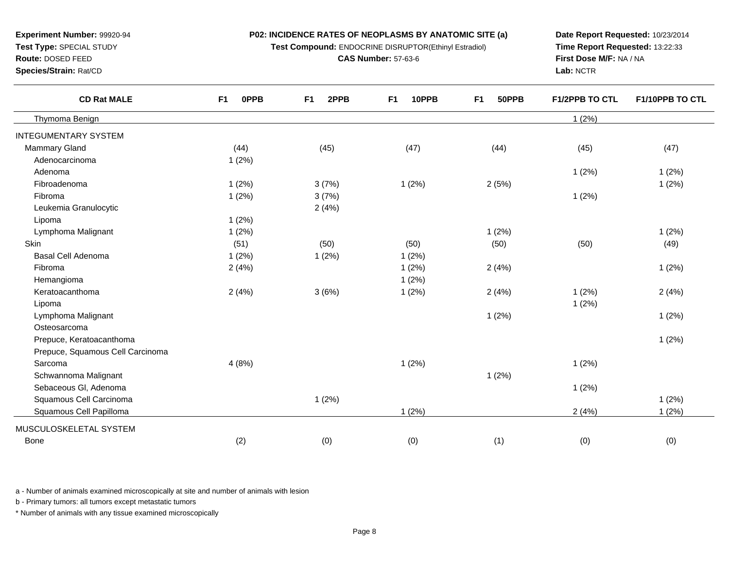**Test Compound:** ENDOCRINE DISRUPTOR(Ethinyl Estradiol)

**CAS Number:** 57-63-6

**Date Report Requested:** 10/23/2014**Time Report Requested:** 13:22:33**First Dose M/F:** NA / NA**Lab:** NCTR

| <b>CD Rat MALE</b>               | F <sub>1</sub><br><b>OPPB</b> | F <sub>1</sub><br>2PPB | F <sub>1</sub><br>10PPB | F <sub>1</sub><br>50PPB | <b>F1/2PPB TO CTL</b> | F1/10PPB TO CTL |
|----------------------------------|-------------------------------|------------------------|-------------------------|-------------------------|-----------------------|-----------------|
| Thymoma Benign                   |                               |                        |                         |                         | 1(2%)                 |                 |
| <b>INTEGUMENTARY SYSTEM</b>      |                               |                        |                         |                         |                       |                 |
| Mammary Gland                    | (44)                          | (45)                   | (47)                    | (44)                    | (45)                  | (47)            |
| Adenocarcinoma                   | 1(2%)                         |                        |                         |                         |                       |                 |
| Adenoma                          |                               |                        |                         |                         | 1(2%)                 | 1(2%)           |
| Fibroadenoma                     | 1(2%)                         | 3(7%)                  | 1(2%)                   | 2(5%)                   |                       | 1(2%)           |
| Fibroma                          | 1(2%)                         | 3(7%)                  |                         |                         | 1(2%)                 |                 |
| Leukemia Granulocytic            |                               | 2(4%)                  |                         |                         |                       |                 |
| Lipoma                           | 1(2%)                         |                        |                         |                         |                       |                 |
| Lymphoma Malignant               | 1(2%)                         |                        |                         | 1(2%)                   |                       | 1(2%)           |
| <b>Skin</b>                      | (51)                          | (50)                   | (50)                    | (50)                    | (50)                  | (49)            |
| Basal Cell Adenoma               | 1(2%)                         | 1(2%)                  | 1(2%)                   |                         |                       |                 |
| Fibroma                          | 2(4%)                         |                        | 1(2%)                   | 2(4%)                   |                       | 1(2%)           |
| Hemangioma                       |                               |                        | 1(2%)                   |                         |                       |                 |
| Keratoacanthoma                  | 2(4%)                         | 3(6%)                  | 1(2%)                   | 2(4%)                   | 1(2%)                 | 2(4%)           |
| Lipoma                           |                               |                        |                         |                         | 1(2%)                 |                 |
| Lymphoma Malignant               |                               |                        |                         | 1(2%)                   |                       | 1(2%)           |
| Osteosarcoma                     |                               |                        |                         |                         |                       |                 |
| Prepuce, Keratoacanthoma         |                               |                        |                         |                         |                       | 1(2%)           |
| Prepuce, Squamous Cell Carcinoma |                               |                        |                         |                         |                       |                 |
| Sarcoma                          | 4(8%)                         |                        | 1(2%)                   |                         | 1(2%)                 |                 |
| Schwannoma Malignant             |                               |                        |                         | 1(2%)                   |                       |                 |
| Sebaceous Gl, Adenoma            |                               |                        |                         |                         | 1(2%)                 |                 |
| Squamous Cell Carcinoma          |                               | 1(2%)                  |                         |                         |                       | 1(2%)           |
| Squamous Cell Papilloma          |                               |                        | 1(2%)                   |                         | 2(4%)                 | 1(2%)           |
| MUSCULOSKELETAL SYSTEM           |                               |                        |                         |                         |                       |                 |
| <b>Bone</b>                      | (2)                           | (0)                    | (0)                     | (1)                     | (0)                   | (0)             |
|                                  |                               |                        |                         |                         |                       |                 |

a - Number of animals examined microscopically at site and number of animals with lesion

b - Primary tumors: all tumors except metastatic tumors

\* Number of animals with any tissue examined microscopically

## **Experiment Number:** 99920-94**Test Type:** SPECIAL STUDY

**Route:** DOSED FEED

**Species/Strain:** Rat/CD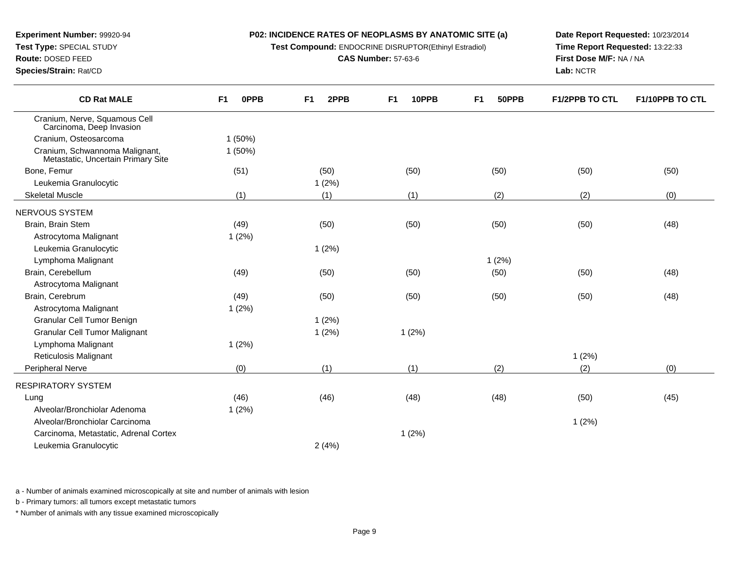**Test Compound:** ENDOCRINE DISRUPTOR(Ethinyl Estradiol)

**CAS Number:** 57-63-6

**Date Report Requested:** 10/23/2014**Time Report Requested:** 13:22:33**First Dose M/F:** NA / NA**Lab:** NCTR

| <b>CD Rat MALE</b>                                                   | 0PPB<br>F <sub>1</sub> | 2PPB<br>F <sub>1</sub> | F <sub>1</sub><br>10PPB | F <sub>1</sub><br>50PPB | <b>F1/2PPB TO CTL</b> | F1/10PPB TO CTL |
|----------------------------------------------------------------------|------------------------|------------------------|-------------------------|-------------------------|-----------------------|-----------------|
| Cranium, Nerve, Squamous Cell<br>Carcinoma, Deep Invasion            |                        |                        |                         |                         |                       |                 |
| Cranium, Osteosarcoma                                                | 1(50%)                 |                        |                         |                         |                       |                 |
| Cranium, Schwannoma Malignant,<br>Metastatic, Uncertain Primary Site | $1(50\%)$              |                        |                         |                         |                       |                 |
| Bone, Femur                                                          | (51)                   | (50)                   | (50)                    | (50)                    | (50)                  | (50)            |
| Leukemia Granulocytic                                                |                        | 1(2%)                  |                         |                         |                       |                 |
| <b>Skeletal Muscle</b>                                               | (1)                    | (1)                    | (1)                     | (2)                     | (2)                   | (0)             |
| NERVOUS SYSTEM                                                       |                        |                        |                         |                         |                       |                 |
| Brain, Brain Stem                                                    | (49)                   | (50)                   | (50)                    | (50)                    | (50)                  | (48)            |
| Astrocytoma Malignant                                                | 1(2%)                  |                        |                         |                         |                       |                 |
| Leukemia Granulocytic                                                |                        | 1(2%)                  |                         |                         |                       |                 |
| Lymphoma Malignant                                                   |                        |                        |                         | 1(2%)                   |                       |                 |
| Brain, Cerebellum                                                    | (49)                   | (50)                   | (50)                    | (50)                    | (50)                  | (48)            |
| Astrocytoma Malignant                                                |                        |                        |                         |                         |                       |                 |
| Brain, Cerebrum                                                      | (49)                   | (50)                   | (50)                    | (50)                    | (50)                  | (48)            |
| Astrocytoma Malignant                                                | 1(2%)                  |                        |                         |                         |                       |                 |
| <b>Granular Cell Tumor Benign</b>                                    |                        | 1(2%)                  |                         |                         |                       |                 |
| <b>Granular Cell Tumor Malignant</b>                                 |                        | 1(2%)                  | 1(2%)                   |                         |                       |                 |
| Lymphoma Malignant                                                   | 1(2%)                  |                        |                         |                         |                       |                 |
| Reticulosis Malignant                                                |                        |                        |                         |                         | 1(2%)                 |                 |
| <b>Peripheral Nerve</b>                                              | (0)                    | (1)                    | (1)                     | (2)                     | (2)                   | (0)             |
| RESPIRATORY SYSTEM                                                   |                        |                        |                         |                         |                       |                 |
| Lung                                                                 | (46)                   | (46)                   | (48)                    | (48)                    | (50)                  | (45)            |
| Alveolar/Bronchiolar Adenoma                                         | 1(2%)                  |                        |                         |                         |                       |                 |
| Alveolar/Bronchiolar Carcinoma                                       |                        |                        |                         |                         | 1(2%)                 |                 |
| Carcinoma, Metastatic, Adrenal Cortex                                |                        |                        | 1(2%)                   |                         |                       |                 |
| Leukemia Granulocytic                                                |                        | 2(4%)                  |                         |                         |                       |                 |
|                                                                      |                        |                        |                         |                         |                       |                 |

a - Number of animals examined microscopically at site and number of animals with lesion

b - Primary tumors: all tumors except metastatic tumors

\* Number of animals with any tissue examined microscopically

## **Experiment Number:** 99920-94

**Test Type:** SPECIAL STUDY

**Route:** DOSED FEED

 $\overline{\phantom{0}}$ 

 $\overline{\phantom{0}}$ 

**Species/Strain:** Rat/CD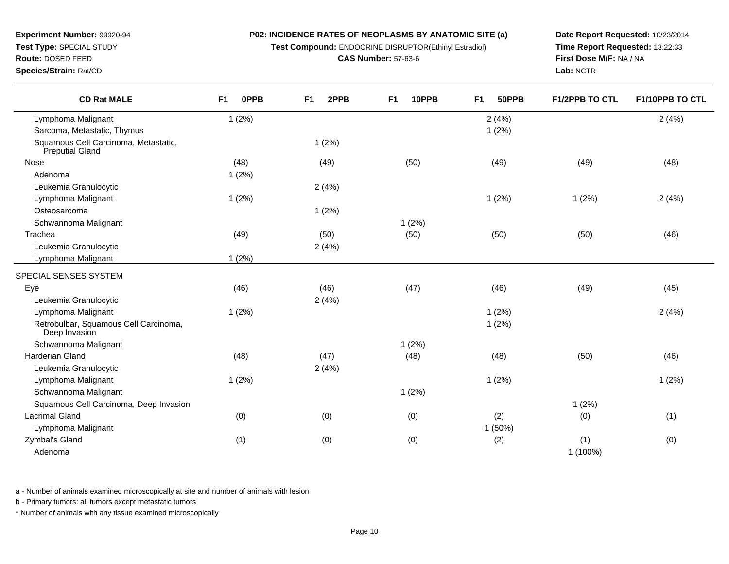**Test Compound:** ENDOCRINE DISRUPTOR(Ethinyl Estradiol)

**CAS Number:** 57-63-6

**Date Report Requested:** 10/23/2014**Time Report Requested:** 13:22:33**First Dose M/F:** NA / NA**Lab:** NCTR

**Species/Strain:** Rat/CD

| <b>CD Rat MALE</b>                                      | F1<br><b>OPPB</b> | F <sub>1</sub><br>2PPB | F <sub>1</sub><br>10PPB | 50PPB<br>F <sub>1</sub> | F1/2PPB TO CTL | F1/10PPB TO CTL |
|---------------------------------------------------------|-------------------|------------------------|-------------------------|-------------------------|----------------|-----------------|
| Lymphoma Malignant                                      | 1(2%)             |                        |                         | 2(4%)                   |                | 2(4%)           |
| Sarcoma, Metastatic, Thymus                             |                   |                        |                         | 1(2%)                   |                |                 |
| Squamous Cell Carcinoma, Metastatic,<br>Preputial Gland |                   | 1(2%)                  |                         |                         |                |                 |
| Nose                                                    | (48)              | (49)                   | (50)                    | (49)                    | (49)           | (48)            |
| Adenoma                                                 | 1(2%)             |                        |                         |                         |                |                 |
| Leukemia Granulocytic                                   |                   | 2(4%)                  |                         |                         |                |                 |
| Lymphoma Malignant                                      | 1(2%)             |                        |                         | 1(2%)                   | 1(2%)          | 2(4%)           |
| Osteosarcoma                                            |                   | 1(2%)                  |                         |                         |                |                 |
| Schwannoma Malignant                                    |                   |                        | 1(2%)                   |                         |                |                 |
| Trachea                                                 | (49)              | (50)                   | (50)                    | (50)                    | (50)           | (46)            |
| Leukemia Granulocytic                                   |                   | 2(4%)                  |                         |                         |                |                 |
| Lymphoma Malignant                                      | 1(2%)             |                        |                         |                         |                |                 |
| SPECIAL SENSES SYSTEM                                   |                   |                        |                         |                         |                |                 |
| Eye                                                     | (46)              | (46)                   | (47)                    | (46)                    | (49)           | (45)            |
| Leukemia Granulocytic                                   |                   | 2(4%)                  |                         |                         |                |                 |
| Lymphoma Malignant                                      | 1(2%)             |                        |                         | 1(2%)                   |                | 2(4%)           |
| Retrobulbar, Squamous Cell Carcinoma,<br>Deep Invasion  |                   |                        |                         | 1(2%)                   |                |                 |
| Schwannoma Malignant                                    |                   |                        | 1(2%)                   |                         |                |                 |
| Harderian Gland                                         | (48)              | (47)                   | (48)                    | (48)                    | (50)           | (46)            |
| Leukemia Granulocytic                                   |                   | 2(4%)                  |                         |                         |                |                 |
| Lymphoma Malignant                                      | 1(2%)             |                        |                         | 1(2%)                   |                | 1(2%)           |
| Schwannoma Malignant                                    |                   |                        | 1(2%)                   |                         |                |                 |
| Squamous Cell Carcinoma, Deep Invasion                  |                   |                        |                         |                         | 1(2%)          |                 |
| <b>Lacrimal Gland</b>                                   | (0)               | (0)                    | (0)                     | (2)                     | (0)            | (1)             |
| Lymphoma Malignant                                      |                   |                        |                         | 1 (50%)                 |                |                 |
| Zymbal's Gland                                          | (1)               | (0)                    | (0)                     | (2)                     | (1)            | (0)             |
| Adenoma                                                 |                   |                        |                         |                         | 1 (100%)       |                 |

a - Number of animals examined microscopically at site and number of animals with lesion

b - Primary tumors: all tumors except metastatic tumors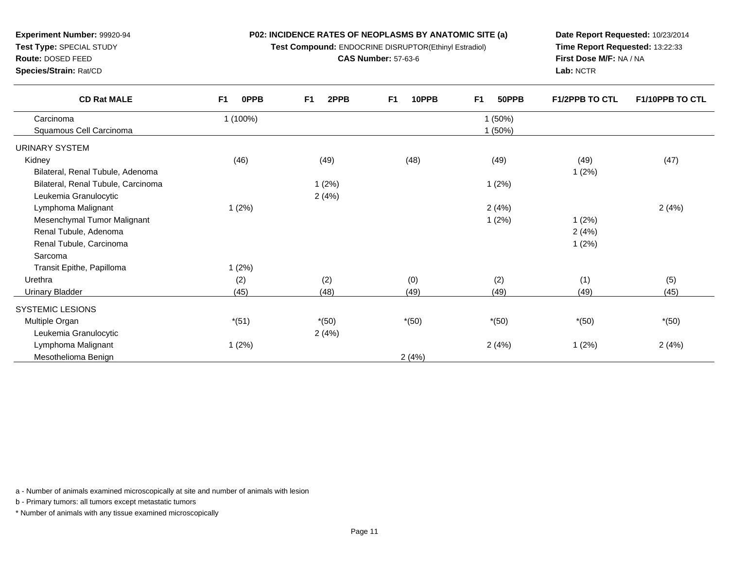**Test Compound:** ENDOCRINE DISRUPTOR(Ethinyl Estradiol)

**CAS Number:** 57-63-6

**Date Report Requested:** 10/23/2014**Time Report Requested:** 13:22:33**First Dose M/F:** NA / NA**Lab:** NCTR

| <b>CD Rat MALE</b>                 | F <sub>1</sub><br><b>OPPB</b> | F <sub>1</sub><br>2PPB | F <sub>1</sub><br>10PPB | F <sub>1</sub><br>50PPB | <b>F1/2PPB TO CTL</b> | <b>F1/10PPB TO CTL</b> |
|------------------------------------|-------------------------------|------------------------|-------------------------|-------------------------|-----------------------|------------------------|
| Carcinoma                          | 1 (100%)                      |                        |                         | 1(50%)                  |                       |                        |
| Squamous Cell Carcinoma            |                               |                        |                         | (50%)                   |                       |                        |
| URINARY SYSTEM                     |                               |                        |                         |                         |                       |                        |
| Kidney                             | (46)                          | (49)                   | (48)                    | (49)                    | (49)                  | (47)                   |
| Bilateral, Renal Tubule, Adenoma   |                               |                        |                         |                         | 1(2%)                 |                        |
| Bilateral, Renal Tubule, Carcinoma |                               | 1(2%)                  |                         | 1(2%)                   |                       |                        |
| Leukemia Granulocytic              |                               | 2(4%)                  |                         |                         |                       |                        |
| Lymphoma Malignant                 | 1(2%)                         |                        |                         | 2(4%)                   |                       | 2(4%)                  |
| Mesenchymal Tumor Malignant        |                               |                        |                         | 1(2%)                   | 1(2%)                 |                        |
| Renal Tubule, Adenoma              |                               |                        |                         |                         | 2(4%)                 |                        |
| Renal Tubule, Carcinoma            |                               |                        |                         |                         | 1(2%)                 |                        |
| Sarcoma                            |                               |                        |                         |                         |                       |                        |
| Transit Epithe, Papilloma          | 1(2%)                         |                        |                         |                         |                       |                        |
| Urethra                            | (2)                           | (2)                    | (0)                     | (2)                     | (1)                   | (5)                    |
| <b>Urinary Bladder</b>             | (45)                          | (48)                   | (49)                    | (49)                    | (49)                  | (45)                   |
| SYSTEMIC LESIONS                   |                               |                        |                         |                         |                       |                        |
| Multiple Organ                     | $*(51)$                       | $*(50)$                | $*(50)$                 | $*(50)$                 | $*(50)$               | $*(50)$                |
| Leukemia Granulocytic              |                               | 2(4%)                  |                         |                         |                       |                        |
| Lymphoma Malignant                 | 1(2%)                         |                        |                         | 2(4%)                   | 1(2%)                 | 2(4%)                  |
| Mesothelioma Benign                |                               |                        | 2(4%)                   |                         |                       |                        |

a - Number of animals examined microscopically at site and number of animals with lesion

b - Primary tumors: all tumors except metastatic tumors

\* Number of animals with any tissue examined microscopically

**Experiment Number:** 99920-94**Test Type:** SPECIAL STUDY

**Route:** DOSED FEED**Species/Strain:** Rat/CD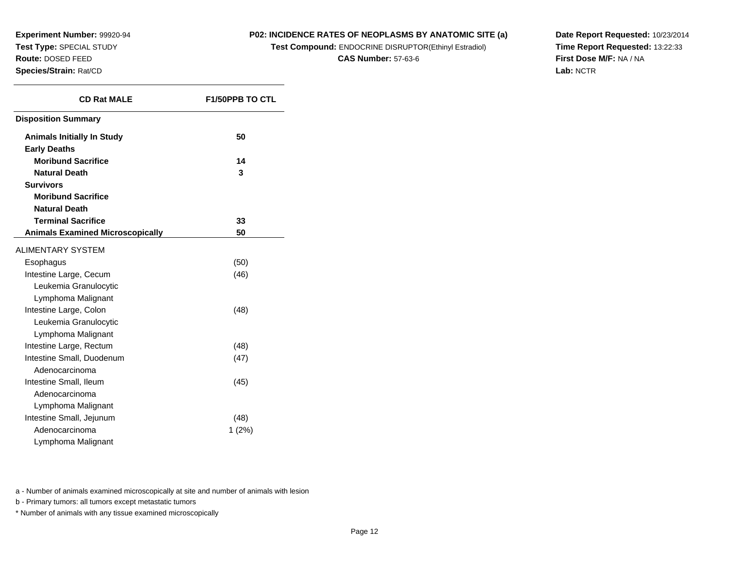#### **P02: INCIDENCE RATES OF NEOPLASMS BY ANATOMIC SITE (a)**

**Test Compound:** ENDOCRINE DISRUPTOR(Ethinyl Estradiol)

**CAS Number:** 57-63-6

**Date Report Requested:** 10/23/2014**Time Report Requested:** 13:22:33**First Dose M/F:** NA / NA**Lab:** NCTR

| <b>CD Rat MALE</b>                      | <b>F1/50PPB TO CTL</b> |  |  |  |
|-----------------------------------------|------------------------|--|--|--|
| <b>Disposition Summary</b>              |                        |  |  |  |
| <b>Animals Initially In Study</b>       | 50                     |  |  |  |
| <b>Early Deaths</b>                     |                        |  |  |  |
| <b>Moribund Sacrifice</b>               | 14                     |  |  |  |
| <b>Natural Death</b>                    | 3                      |  |  |  |
| <b>Survivors</b>                        |                        |  |  |  |
| <b>Moribund Sacrifice</b>               |                        |  |  |  |
| <b>Natural Death</b>                    |                        |  |  |  |
| <b>Terminal Sacrifice</b>               | 33                     |  |  |  |
| <b>Animals Examined Microscopically</b> | 50                     |  |  |  |
| <b>ALIMENTARY SYSTEM</b>                |                        |  |  |  |
| Esophagus                               | (50)                   |  |  |  |
| Intestine Large, Cecum                  | (46)                   |  |  |  |
| Leukemia Granulocytic                   |                        |  |  |  |
| Lymphoma Malignant                      |                        |  |  |  |
| Intestine Large, Colon                  | (48)                   |  |  |  |
| Leukemia Granulocytic                   |                        |  |  |  |
| Lymphoma Malignant                      |                        |  |  |  |
| Intestine Large, Rectum                 | (48)                   |  |  |  |
| Intestine Small, Duodenum               | (47)                   |  |  |  |
| Adenocarcinoma                          |                        |  |  |  |
| Intestine Small, Ileum                  | (45)                   |  |  |  |
| Adenocarcinoma                          |                        |  |  |  |
| Lymphoma Malignant                      |                        |  |  |  |
| Intestine Small, Jejunum                | (48)                   |  |  |  |
| Adenocarcinoma                          | 1 (2%)                 |  |  |  |
| Lymphoma Malignant                      |                        |  |  |  |

a - Number of animals examined microscopically at site and number of animals with lesion

b - Primary tumors: all tumors except metastatic tumors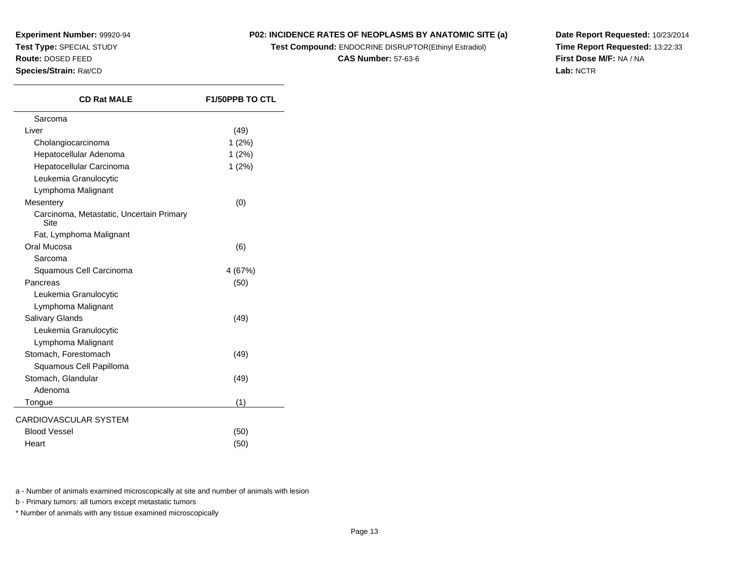#### **P02: INCIDENCE RATES OF NEOPLASMS BY ANATOMIC SITE (a)**

**Test Compound:** ENDOCRINE DISRUPTOR(Ethinyl Estradiol)

**CAS Number:** 57-63-6

**Date Report Requested:** 10/23/2014**Time Report Requested:** 13:22:33**First Dose M/F:** NA / NA**Lab:** NCTR

| <b>CD Rat MALE</b>                               | <b>F1/50PPB TO CTL</b> |
|--------------------------------------------------|------------------------|
| Sarcoma                                          |                        |
| Liver                                            | (49)                   |
| Cholangiocarcinoma                               | 1 (2%)                 |
| Hepatocellular Adenoma                           | $1(2\%)$               |
| Hepatocellular Carcinoma                         | 1(2%)                  |
| Leukemia Granulocytic                            |                        |
| Lymphoma Malignant                               |                        |
| Mesentery                                        | (0)                    |
| Carcinoma, Metastatic, Uncertain Primary<br>Site |                        |
| Fat, Lymphoma Malignant                          |                        |
| Oral Mucosa                                      | (6)                    |
| Sarcoma                                          |                        |
| Squamous Cell Carcinoma                          | 4 (67%)                |
| Pancreas                                         | (50)                   |
| Leukemia Granulocytic                            |                        |
| Lymphoma Malignant                               |                        |
| <b>Salivary Glands</b>                           | (49)                   |
| Leukemia Granulocytic                            |                        |
| Lymphoma Malignant                               |                        |
| Stomach, Forestomach                             | (49)                   |
| Squamous Cell Papilloma                          |                        |
| Stomach, Glandular                               | (49)                   |
| Adenoma                                          |                        |
| Tongue                                           | (1)                    |
| CARDIOVASCULAR SYSTEM                            |                        |
| <b>Blood Vessel</b>                              | (50)                   |
| Heart                                            | (50)                   |

a - Number of animals examined microscopically at site and number of animals with lesion

b - Primary tumors: all tumors except metastatic tumors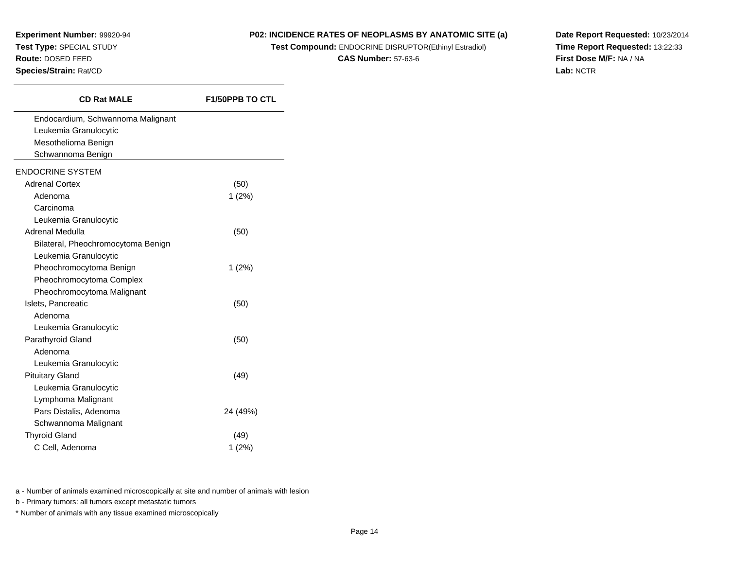#### **P02: INCIDENCE RATES OF NEOPLASMS BY ANATOMIC SITE (a)**

**Test Compound:** ENDOCRINE DISRUPTOR(Ethinyl Estradiol)

**CAS Number:** 57-63-6

**Date Report Requested:** 10/23/2014**Time Report Requested:** 13:22:33**First Dose M/F:** NA / NA**Lab:** NCTR

| <b>CD Rat MALE</b>                 | <b>F1/50PPB TO CTL</b> |
|------------------------------------|------------------------|
| Endocardium, Schwannoma Malignant  |                        |
| Leukemia Granulocytic              |                        |
| Mesothelioma Benign                |                        |
| Schwannoma Benign                  |                        |
| <b>ENDOCRINE SYSTEM</b>            |                        |
| <b>Adrenal Cortex</b>              | (50)                   |
| Adenoma                            | 1(2%)                  |
| Carcinoma                          |                        |
| Leukemia Granulocytic              |                        |
| Adrenal Medulla                    | (50)                   |
| Bilateral, Pheochromocytoma Benign |                        |
| Leukemia Granulocytic              |                        |
| Pheochromocytoma Benign            | 1(2%)                  |
| Pheochromocytoma Complex           |                        |
| Pheochromocytoma Malignant         |                        |
| Islets, Pancreatic                 | (50)                   |
| Adenoma                            |                        |
| Leukemia Granulocytic              |                        |
| Parathyroid Gland                  | (50)                   |
| Adenoma                            |                        |
| Leukemia Granulocytic              |                        |
| <b>Pituitary Gland</b>             | (49)                   |
| Leukemia Granulocytic              |                        |
| Lymphoma Malignant                 |                        |
| Pars Distalis, Adenoma             | 24 (49%)               |
| Schwannoma Malignant               |                        |
| <b>Thyroid Gland</b>               | (49)                   |
| C Cell, Adenoma                    | 1(2%)                  |

a - Number of animals examined microscopically at site and number of animals with lesion

b - Primary tumors: all tumors except metastatic tumors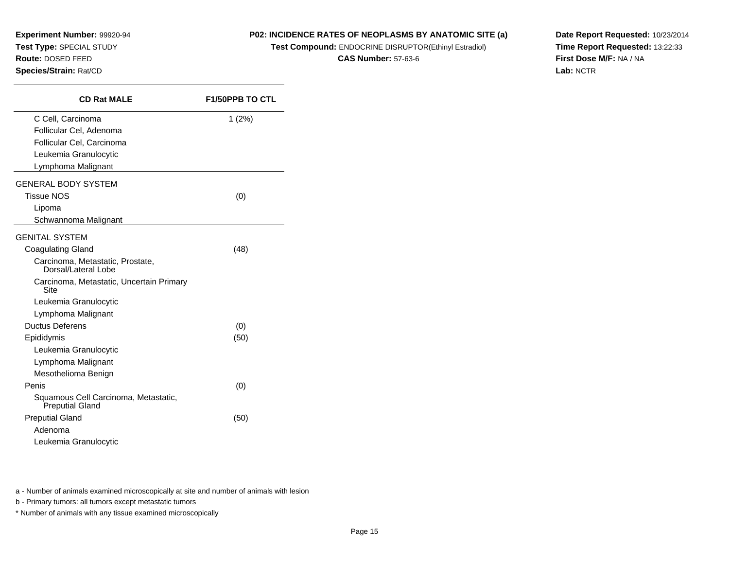#### **P02: INCIDENCE RATES OF NEOPLASMS BY ANATOMIC SITE (a)**

**Test Compound:** ENDOCRINE DISRUPTOR(Ethinyl Estradiol)

**CAS Number:** 57-63-6

**Date Report Requested:** 10/23/2014**Time Report Requested:** 13:22:33**First Dose M/F:** NA / NA**Lab:** NCTR

| <b>CD Rat MALE</b>                                             | <b>F1/50PPB TO CTL</b> |
|----------------------------------------------------------------|------------------------|
| C Cell, Carcinoma                                              | 1(2%)                  |
| Follicular Cel, Adenoma                                        |                        |
| Follicular Cel, Carcinoma                                      |                        |
| Leukemia Granulocytic                                          |                        |
| Lymphoma Malignant                                             |                        |
| <b>GENERAL BODY SYSTEM</b>                                     |                        |
| <b>Tissue NOS</b>                                              | (0)                    |
| Lipoma                                                         |                        |
| Schwannoma Malignant                                           |                        |
| <b>GENITAL SYSTEM</b>                                          |                        |
| <b>Coagulating Gland</b>                                       | (48)                   |
| Carcinoma, Metastatic, Prostate,<br>Dorsal/Lateral Lobe        |                        |
| Carcinoma, Metastatic, Uncertain Primary<br>Site               |                        |
| Leukemia Granulocytic                                          |                        |
| Lymphoma Malignant                                             |                        |
| <b>Ductus Deferens</b>                                         | (0)                    |
| Epididymis                                                     | (50)                   |
| Leukemia Granulocytic                                          |                        |
| Lymphoma Malignant                                             |                        |
| Mesothelioma Benign                                            |                        |
| Penis                                                          | (0)                    |
| Squamous Cell Carcinoma, Metastatic,<br><b>Preputial Gland</b> |                        |
| <b>Preputial Gland</b>                                         | (50)                   |
| Adenoma                                                        |                        |
| Leukemia Granulocytic                                          |                        |

a - Number of animals examined microscopically at site and number of animals with lesion

b - Primary tumors: all tumors except metastatic tumors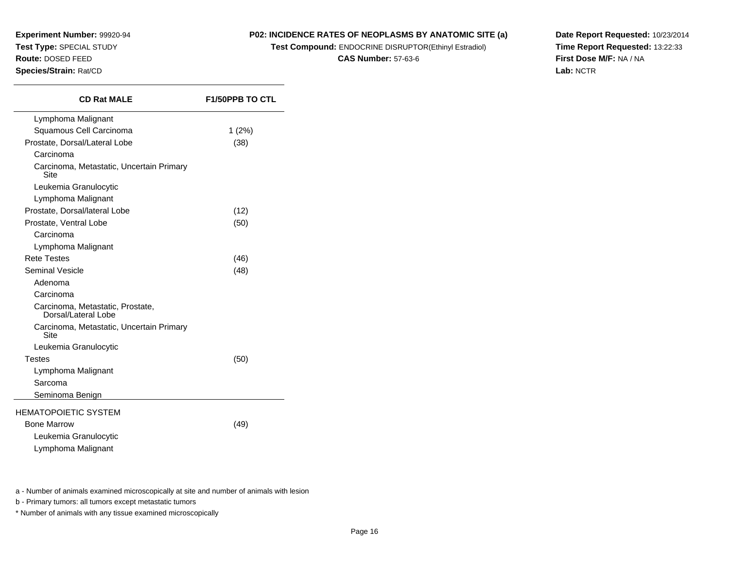#### **P02: INCIDENCE RATES OF NEOPLASMS BY ANATOMIC SITE (a)**

**Test Compound:** ENDOCRINE DISRUPTOR(Ethinyl Estradiol)

**CAS Number:** 57-63-6

**Date Report Requested:** 10/23/2014**Time Report Requested:** 13:22:33**First Dose M/F:** NA / NA**Lab:** NCTR

| Lymphoma Malignant                                      | $1(2\%)$<br>(38) |
|---------------------------------------------------------|------------------|
|                                                         |                  |
| Squamous Cell Carcinoma                                 |                  |
| Prostate, Dorsal/Lateral Lobe                           |                  |
| Carcinoma                                               |                  |
| Carcinoma, Metastatic, Uncertain Primary<br>Site        |                  |
| Leukemia Granulocytic                                   |                  |
| Lymphoma Malignant                                      |                  |
| Prostate, Dorsal/lateral Lobe                           | (12)             |
| Prostate, Ventral Lobe                                  | (50)             |
| Carcinoma                                               |                  |
| Lymphoma Malignant                                      |                  |
| <b>Rete Testes</b>                                      | (46)             |
| Seminal Vesicle                                         | (48)             |
| Adenoma                                                 |                  |
| Carcinoma                                               |                  |
| Carcinoma, Metastatic, Prostate,<br>Dorsal/Lateral Lobe |                  |
| Carcinoma, Metastatic, Uncertain Primary<br>Site        |                  |
| Leukemia Granulocytic                                   |                  |
| <b>Testes</b>                                           | (50)             |
| Lymphoma Malignant                                      |                  |
| Sarcoma                                                 |                  |
| Seminoma Benign                                         |                  |
| <b>HEMATOPOIETIC SYSTEM</b>                             |                  |
| <b>Bone Marrow</b>                                      | (49)             |
| Leukemia Granulocytic                                   |                  |
| Lymphoma Malignant                                      |                  |

a - Number of animals examined microscopically at site and number of animals with lesion

b - Primary tumors: all tumors except metastatic tumors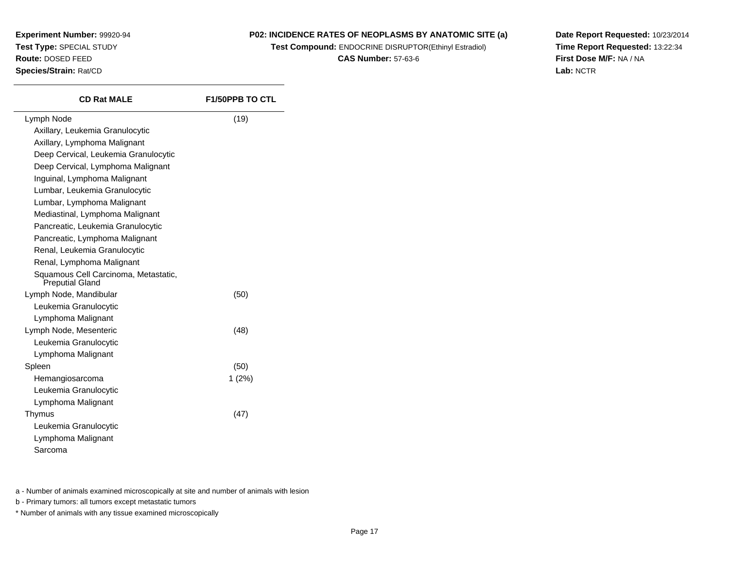#### **P02: INCIDENCE RATES OF NEOPLASMS BY ANATOMIC SITE (a)**

**Test Compound:** ENDOCRINE DISRUPTOR(Ethinyl Estradiol)

**CAS Number:** 57-63-6

**Date Report Requested:** 10/23/2014**Time Report Requested:** 13:22:34**First Dose M/F:** NA / NA**Lab:** NCTR

| <b>CD Rat MALE</b>                                      | <b>F1/50PPB TO CTL</b> |
|---------------------------------------------------------|------------------------|
| Lymph Node                                              | (19)                   |
| Axillary, Leukemia Granulocytic                         |                        |
| Axillary, Lymphoma Malignant                            |                        |
| Deep Cervical, Leukemia Granulocytic                    |                        |
| Deep Cervical, Lymphoma Malignant                       |                        |
| Inguinal, Lymphoma Malignant                            |                        |
| Lumbar, Leukemia Granulocytic                           |                        |
| Lumbar, Lymphoma Malignant                              |                        |
| Mediastinal, Lymphoma Malignant                         |                        |
| Pancreatic, Leukemia Granulocytic                       |                        |
| Pancreatic, Lymphoma Malignant                          |                        |
| Renal, Leukemia Granulocytic                            |                        |
| Renal, Lymphoma Malignant                               |                        |
| Squamous Cell Carcinoma, Metastatic,<br>Preputial Gland |                        |
| Lymph Node, Mandibular                                  | (50)                   |
| Leukemia Granulocytic                                   |                        |
| Lymphoma Malignant                                      |                        |
| Lymph Node, Mesenteric                                  | (48)                   |
| Leukemia Granulocytic                                   |                        |
| Lymphoma Malignant                                      |                        |
| Spleen                                                  | (50)                   |
| Hemangiosarcoma                                         | 1(2%)                  |
| Leukemia Granulocytic                                   |                        |
| Lymphoma Malignant                                      |                        |
| Thymus                                                  | (47)                   |
| Leukemia Granulocytic                                   |                        |
| Lymphoma Malignant                                      |                        |
| Sarcoma                                                 |                        |
|                                                         |                        |

a - Number of animals examined microscopically at site and number of animals with lesion

b - Primary tumors: all tumors except metastatic tumors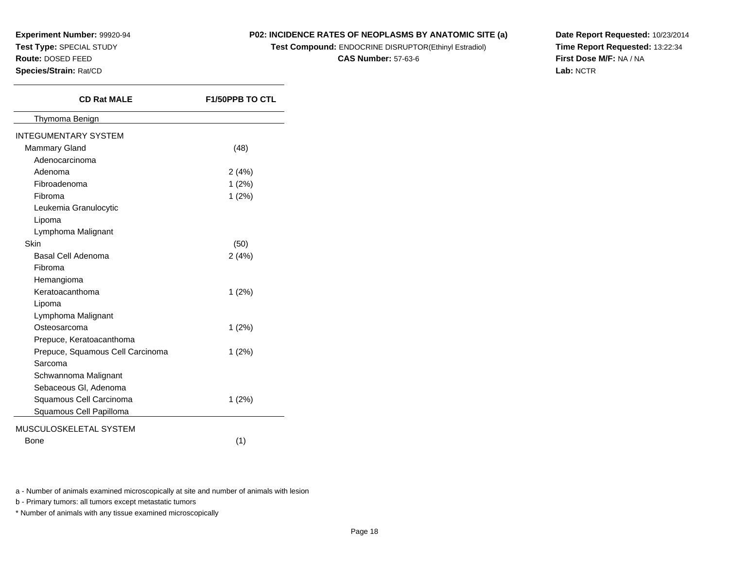#### **P02: INCIDENCE RATES OF NEOPLASMS BY ANATOMIC SITE (a)**

**Test Compound:** ENDOCRINE DISRUPTOR(Ethinyl Estradiol)

**CAS Number:** 57-63-6

**Date Report Requested:** 10/23/2014**Time Report Requested:** 13:22:34**First Dose M/F:** NA / NA**Lab:** NCTR

| <b>CD Rat MALE</b>               | F1/50PPB TO CTL |
|----------------------------------|-----------------|
| Thymoma Benign                   |                 |
| <b>INTEGUMENTARY SYSTEM</b>      |                 |
| <b>Mammary Gland</b>             | (48)            |
| Adenocarcinoma                   |                 |
| Adenoma                          | 2(4%)           |
| Fibroadenoma                     | 1(2%)           |
| Fibroma                          | 1(2%)           |
| Leukemia Granulocytic            |                 |
| Lipoma                           |                 |
| Lymphoma Malignant               |                 |
| <b>Skin</b>                      | (50)            |
| Basal Cell Adenoma               | 2(4%)           |
| Fibroma                          |                 |
| Hemangioma                       |                 |
| Keratoacanthoma                  | 1(2%)           |
| Lipoma                           |                 |
| Lymphoma Malignant               |                 |
| Osteosarcoma                     | $1(2\%)$        |
| Prepuce, Keratoacanthoma         |                 |
| Prepuce, Squamous Cell Carcinoma | $1(2\%)$        |
| Sarcoma                          |                 |
| Schwannoma Malignant             |                 |
| Sebaceous Gl, Adenoma            |                 |
| Squamous Cell Carcinoma          | $1(2\%)$        |
| Squamous Cell Papilloma          |                 |
| MUSCULOSKELETAL SYSTEM           |                 |
| <b>Bone</b>                      | (1)             |

a - Number of animals examined microscopically at site and number of animals with lesion

b - Primary tumors: all tumors except metastatic tumors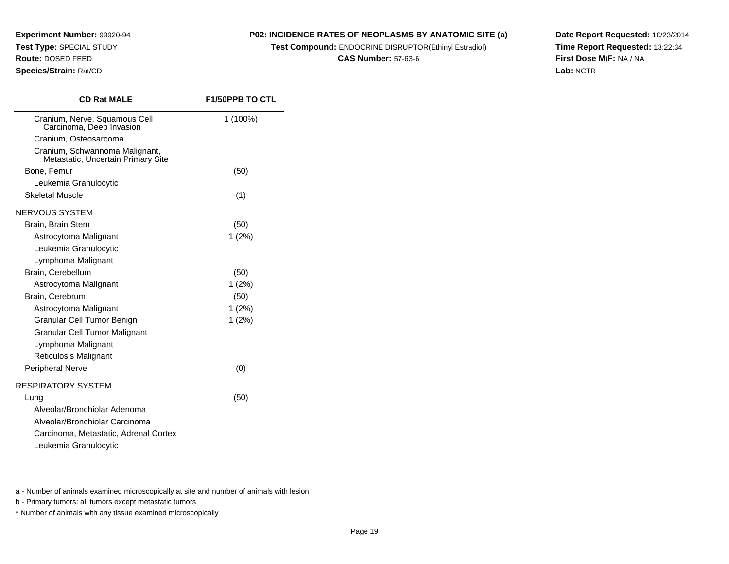**Experiment Number:** 99920-94**Test Type:** SPECIAL STUDY**Route:** DOSED FEED

**Species/Strain:** Rat/CD

**P02: INCIDENCE RATES OF NEOPLASMS BY ANATOMIC SITE (a)**

**Test Compound:** ENDOCRINE DISRUPTOR(Ethinyl Estradiol)

**CAS Number:** 57-63-6

**Date Report Requested:** 10/23/2014**Time Report Requested:** 13:22:34**First Dose M/F:** NA / NA**Lab:** NCTR

| <b>CD Rat MALE</b>                                                   | <b>F1/50PPB TO CTL</b> |
|----------------------------------------------------------------------|------------------------|
| Cranium, Nerve, Squamous Cell<br>Carcinoma, Deep Invasion            | 1 (100%)               |
| Cranium, Osteosarcoma                                                |                        |
| Cranium, Schwannoma Malignant,<br>Metastatic, Uncertain Primary Site |                        |
| Bone, Femur                                                          | (50)                   |
| Leukemia Granulocytic                                                |                        |
| <b>Skeletal Muscle</b>                                               | (1)                    |
| NERVOUS SYSTEM                                                       |                        |
| Brain, Brain Stem                                                    | (50)                   |
| Astrocytoma Malignant                                                | $1(2\%)$               |
| Leukemia Granulocytic                                                |                        |
| Lymphoma Malignant                                                   |                        |
| Brain, Cerebellum                                                    | (50)                   |
| Astrocytoma Malignant                                                | 1(2%)                  |
| Brain, Cerebrum                                                      | (50)                   |
| Astrocytoma Malignant                                                | $1(2\%)$               |
| Granular Cell Tumor Benign                                           | 1(2%)                  |
| <b>Granular Cell Tumor Malignant</b>                                 |                        |
| Lymphoma Malignant                                                   |                        |
| <b>Reticulosis Malignant</b>                                         |                        |
| Peripheral Nerve                                                     | (0)                    |
| <b>RESPIRATORY SYSTEM</b>                                            |                        |
| Lung                                                                 | (50)                   |
| Alveolar/Bronchiolar Adenoma                                         |                        |
| Alveolar/Bronchiolar Carcinoma                                       |                        |
| Carcinoma, Metastatic, Adrenal Cortex                                |                        |
| Leukemia Granulocytic                                                |                        |

a - Number of animals examined microscopically at site and number of animals with lesion

b - Primary tumors: all tumors except metastatic tumors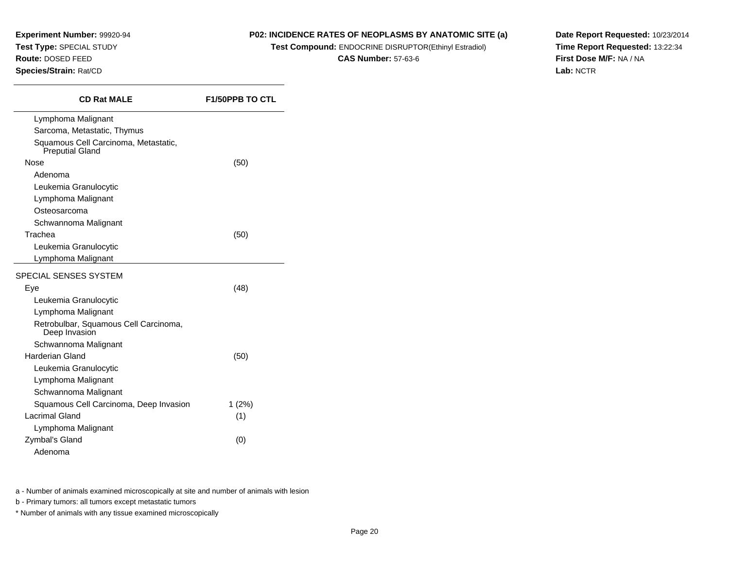#### **P02: INCIDENCE RATES OF NEOPLASMS BY ANATOMIC SITE (a)**

**Test Compound:** ENDOCRINE DISRUPTOR(Ethinyl Estradiol)

**CAS Number:** 57-63-6

**Date Report Requested:** 10/23/2014**Time Report Requested:** 13:22:34**First Dose M/F:** NA / NA**Lab:** NCTR

| <b>CD Rat MALE</b>                                             | <b>F1/50PPB TO CTL</b> |
|----------------------------------------------------------------|------------------------|
| Lymphoma Malignant                                             |                        |
| Sarcoma, Metastatic, Thymus                                    |                        |
| Squamous Cell Carcinoma, Metastatic,<br><b>Preputial Gland</b> |                        |
| Nose                                                           | (50)                   |
| Adenoma                                                        |                        |
| Leukemia Granulocytic                                          |                        |
| Lymphoma Malignant                                             |                        |
| Osteosarcoma                                                   |                        |
| Schwannoma Malignant                                           |                        |
| Trachea                                                        | (50)                   |
| Leukemia Granulocytic                                          |                        |
| Lymphoma Malignant                                             |                        |
| SPECIAL SENSES SYSTEM                                          |                        |
| Eye                                                            | (48)                   |
| Leukemia Granulocytic                                          |                        |
| Lymphoma Malignant                                             |                        |
| Retrobulbar, Squamous Cell Carcinoma,<br>Deep Invasion         |                        |
| Schwannoma Malignant                                           |                        |
| Harderian Gland                                                | (50)                   |
| Leukemia Granulocytic                                          |                        |
| Lymphoma Malignant                                             |                        |
| Schwannoma Malignant                                           |                        |
| Squamous Cell Carcinoma, Deep Invasion                         | 1(2%)                  |
| <b>Lacrimal Gland</b>                                          | (1)                    |
| Lymphoma Malignant                                             |                        |
| Zymbal's Gland                                                 | (0)                    |
| Adenoma                                                        |                        |

a - Number of animals examined microscopically at site and number of animals with lesion

b - Primary tumors: all tumors except metastatic tumors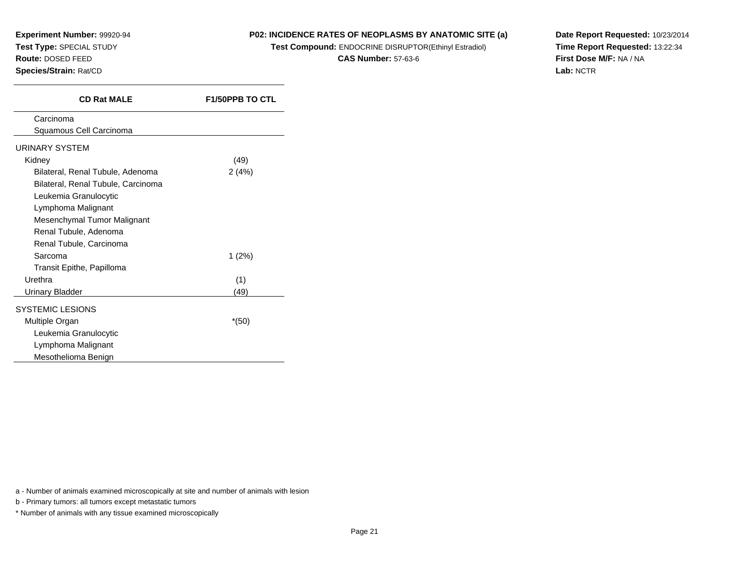#### **P02: INCIDENCE RATES OF NEOPLASMS BY ANATOMIC SITE (a)**

**Test Compound:** ENDOCRINE DISRUPTOR(Ethinyl Estradiol)

**CAS Number:** 57-63-6

**Date Report Requested:** 10/23/2014**Time Report Requested:** 13:22:34**First Dose M/F:** NA / NA**Lab:** NCTR

| (49)     |
|----------|
| 2(4%)    |
|          |
|          |
|          |
|          |
|          |
|          |
| $1(2\%)$ |
|          |
|          |
|          |
|          |
| *(50)    |
|          |
|          |
|          |
| (49)     |

a - Number of animals examined microscopically at site and number of animals with lesion

b - Primary tumors: all tumors except metastatic tumors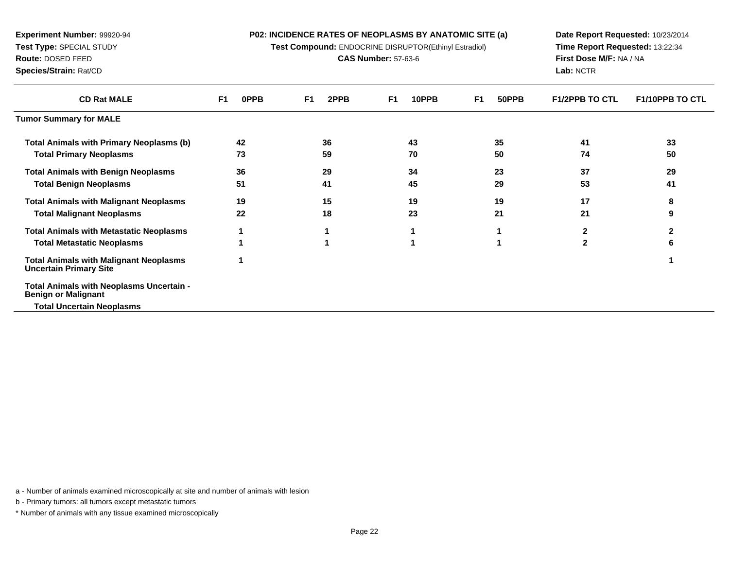**Test Compound:** ENDOCRINE DISRUPTOR(Ethinyl Estradiol)

**CAS Number:** 57-63-6

**Date Report Requested:** 10/23/2014**Time Report Requested:** 13:22:34**First Dose M/F:** NA / NA**Lab:** NCTR

| <b>CD Rat MALE</b>                                                             | 0PPB<br>F1 | 2PPB<br>F1. | 10PPB<br>F1 | 50PPB<br>F1 | <b>F1/2PPB TO CTL</b> | <b>F1/10PPB TO CTL</b> |
|--------------------------------------------------------------------------------|------------|-------------|-------------|-------------|-----------------------|------------------------|
| <b>Tumor Summary for MALE</b>                                                  |            |             |             |             |                       |                        |
| <b>Total Animals with Primary Neoplasms (b)</b>                                | 42         | 36          | 43          | 35          | 41                    | 33                     |
| <b>Total Primary Neoplasms</b>                                                 | 73         | 59          | 70          | 50          | 74                    | 50                     |
| <b>Total Animals with Benign Neoplasms</b>                                     | 36         | 29          | 34          | 23          | 37                    | 29                     |
| <b>Total Benign Neoplasms</b>                                                  | 51         | 41          | 45          | 29          | 53                    | 41                     |
| <b>Total Animals with Malignant Neoplasms</b>                                  | 19         | 15          | 19          | 19          | 17                    | 8                      |
| <b>Total Malignant Neoplasms</b>                                               | 22         | 18          | 23          | 21          | 21                    | 9                      |
| <b>Total Animals with Metastatic Neoplasms</b>                                 |            |             |             |             |                       |                        |
| <b>Total Metastatic Neoplasms</b>                                              |            |             |             |             | 2                     | 6                      |
| <b>Total Animals with Malignant Neoplasms</b><br><b>Uncertain Primary Site</b> |            |             |             |             |                       |                        |
| Total Animals with Neoplasms Uncertain -<br><b>Benign or Malignant</b>         |            |             |             |             |                       |                        |
| <b>Total Uncertain Neoplasms</b>                                               |            |             |             |             |                       |                        |

a - Number of animals examined microscopically at site and number of animals with lesion

b - Primary tumors: all tumors except metastatic tumors

**Experiment Number:** 99920-94**Test Type:** SPECIAL STUDY**Route:** DOSED FEED**Species/Strain:** Rat/CD

 $\overline{\phantom{a}}$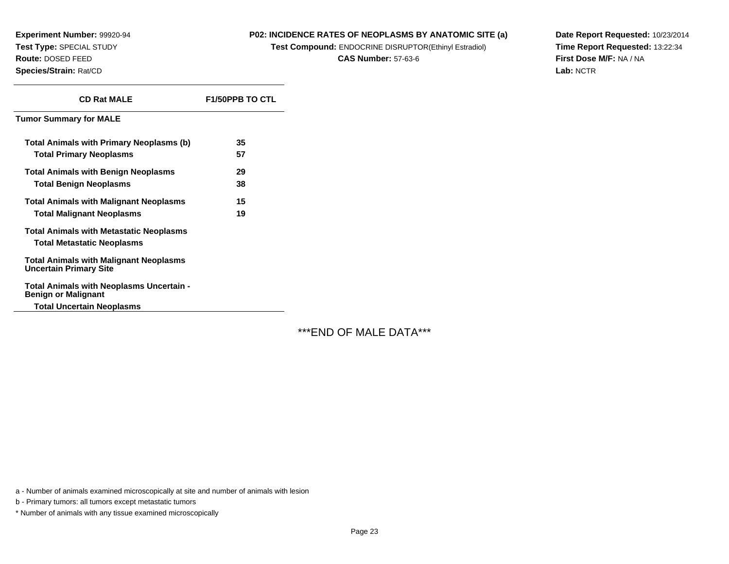#### **P02: INCIDENCE RATES OF NEOPLASMS BY ANATOMIC SITE (a)**

**Test Compound:** ENDOCRINE DISRUPTOR(Ethinyl Estradiol)

**CAS Number:** 57-63-6

**Date Report Requested:** 10/23/2014**Time Report Requested:** 13:22:34**First Dose M/F:** NA / NA**Lab:** NCTR

| <b>CD Rat MALE</b>                                                             | <b>F1/50PPB TO CTL</b> |
|--------------------------------------------------------------------------------|------------------------|
| <b>Tumor Summary for MALE</b>                                                  |                        |
| Total Animals with Primary Neoplasms (b)                                       | 35                     |
| <b>Total Primary Neoplasms</b>                                                 | 57                     |
| <b>Total Animals with Benign Neoplasms</b>                                     | 29                     |
| <b>Total Benign Neoplasms</b>                                                  | 38                     |
| <b>Total Animals with Malignant Neoplasms</b>                                  | 15                     |
| <b>Total Malignant Neoplasms</b>                                               | 19                     |
| <b>Total Animals with Metastatic Neoplasms</b>                                 |                        |
| <b>Total Metastatic Neoplasms</b>                                              |                        |
| <b>Total Animals with Malignant Neoplasms</b><br><b>Uncertain Primary Site</b> |                        |
| Total Animals with Neoplasms Uncertain -<br><b>Benign or Malignant</b>         |                        |
| <b>Total Uncertain Neoplasms</b>                                               |                        |

\*\*\*END OF MALE DATA\*\*\*

a - Number of animals examined microscopically at site and number of animals with lesion

b - Primary tumors: all tumors except metastatic tumors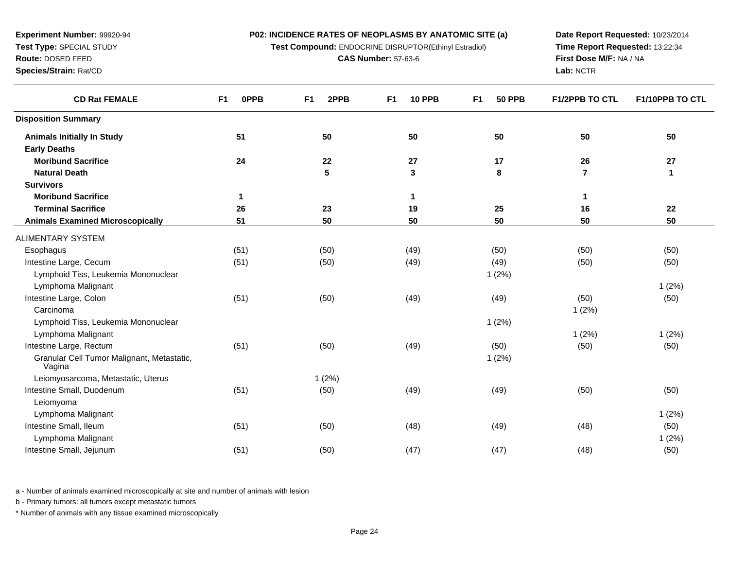**Test Compound:** ENDOCRINE DISRUPTOR(Ethinyl Estradiol)

**CAS Number:** 57-63-6

**Date Report Requested:** 10/23/2014**Time Report Requested:** 13:22:34**First Dose M/F:** NA / NA**Lab:** NCTR

| <b>CD Rat FEMALE</b>                                     | <b>OPPB</b><br>F1 | 2PPB<br>F <sub>1</sub> | <b>10 PPB</b><br>F <sub>1</sub> | <b>50 PPB</b><br>F <sub>1</sub> | <b>F1/2PPB TO CTL</b> | F1/10PPB TO CTL |
|----------------------------------------------------------|-------------------|------------------------|---------------------------------|---------------------------------|-----------------------|-----------------|
| <b>Disposition Summary</b>                               |                   |                        |                                 |                                 |                       |                 |
| <b>Animals Initially In Study</b><br><b>Early Deaths</b> | 51                | 50                     | 50                              | 50                              | 50                    | 50              |
| <b>Moribund Sacrifice</b>                                | 24                | 22                     | 27                              | 17                              | 26                    | 27              |
| <b>Natural Death</b>                                     |                   | $5\phantom{1}$         | $\mathbf 3$                     | 8                               | $\overline{7}$        | 1               |
| <b>Survivors</b>                                         |                   |                        |                                 |                                 |                       |                 |
| <b>Moribund Sacrifice</b>                                | 1                 |                        | $\mathbf 1$                     |                                 | 1                     |                 |
| <b>Terminal Sacrifice</b>                                | 26                | 23                     | 19                              | 25                              | 16                    | 22              |
| <b>Animals Examined Microscopically</b>                  | 51                | 50                     | 50                              | 50                              | 50                    | 50              |
| ALIMENTARY SYSTEM                                        |                   |                        |                                 |                                 |                       |                 |
| Esophagus                                                | (51)              | (50)                   | (49)                            | (50)                            | (50)                  | (50)            |
| Intestine Large, Cecum                                   | (51)              | (50)                   | (49)                            | (49)                            | (50)                  | (50)            |
| Lymphoid Tiss, Leukemia Mononuclear                      |                   |                        |                                 | 1(2%)                           |                       |                 |
| Lymphoma Malignant                                       |                   |                        |                                 |                                 |                       | 1(2%)           |
| Intestine Large, Colon                                   | (51)              | (50)                   | (49)                            | (49)                            | (50)                  | (50)            |
| Carcinoma                                                |                   |                        |                                 |                                 | 1(2%)                 |                 |
| Lymphoid Tiss, Leukemia Mononuclear                      |                   |                        |                                 | 1(2%)                           |                       |                 |
| Lymphoma Malignant                                       |                   |                        |                                 |                                 | 1(2%)                 | 1(2%)           |
| Intestine Large, Rectum                                  | (51)              | (50)                   | (49)                            | (50)                            | (50)                  | (50)            |
| Granular Cell Tumor Malignant, Metastatic,<br>Vagina     |                   |                        |                                 | 1(2%)                           |                       |                 |
| Leiomyosarcoma, Metastatic, Uterus                       |                   | 1(2%)                  |                                 |                                 |                       |                 |
| Intestine Small, Duodenum                                | (51)              | (50)                   | (49)                            | (49)                            | (50)                  | (50)            |
| Leiomyoma                                                |                   |                        |                                 |                                 |                       |                 |
| Lymphoma Malignant                                       |                   |                        |                                 |                                 |                       | 1(2%)           |
| Intestine Small, Ileum                                   | (51)              | (50)                   | (48)                            | (49)                            | (48)                  | (50)            |
| Lymphoma Malignant                                       |                   |                        |                                 |                                 |                       | 1(2%)           |
| Intestine Small, Jejunum                                 | (51)              | (50)                   | (47)                            | (47)                            | (48)                  | (50)            |
|                                                          |                   |                        |                                 |                                 |                       |                 |

a - Number of animals examined microscopically at site and number of animals with lesion

b - Primary tumors: all tumors except metastatic tumors

\* Number of animals with any tissue examined microscopically

**Experiment Number:** 99920-94**Test Type:** SPECIAL STUDY**Route:** DOSED FEED

**Species/Strain:** Rat/CD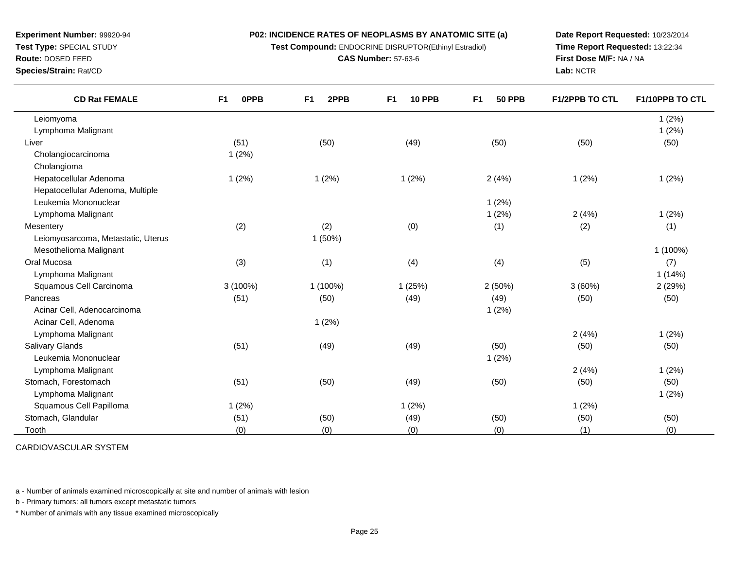**Test Compound:** ENDOCRINE DISRUPTOR(Ethinyl Estradiol)

**CAS Number:** 57-63-6

**Date Report Requested:** 10/23/2014**Time Report Requested:** 13:22:34**First Dose M/F:** NA / NA**Lab:** NCTR

| <b>CD Rat FEMALE</b>               | F <sub>1</sub><br><b>OPPB</b> | 2PPB<br>F <sub>1</sub> | F <sub>1</sub><br><b>10 PPB</b> | <b>50 PPB</b><br>F <sub>1</sub> | <b>F1/2PPB TO CTL</b> | F1/10PPB TO CTL |
|------------------------------------|-------------------------------|------------------------|---------------------------------|---------------------------------|-----------------------|-----------------|
| Leiomyoma                          |                               |                        |                                 |                                 |                       | 1(2%)           |
| Lymphoma Malignant                 |                               |                        |                                 |                                 |                       | 1(2%)           |
| Liver                              | (51)                          | (50)                   | (49)                            | (50)                            | (50)                  | (50)            |
| Cholangiocarcinoma                 | 1(2%)                         |                        |                                 |                                 |                       |                 |
| Cholangioma                        |                               |                        |                                 |                                 |                       |                 |
| Hepatocellular Adenoma             | 1(2%)                         | 1(2%)                  | 1(2%)                           | 2(4%)                           | 1(2%)                 | 1(2%)           |
| Hepatocellular Adenoma, Multiple   |                               |                        |                                 |                                 |                       |                 |
| Leukemia Mononuclear               |                               |                        |                                 | 1(2%)                           |                       |                 |
| Lymphoma Malignant                 |                               |                        |                                 | 1(2%)                           | 2(4%)                 | 1(2%)           |
| Mesentery                          | (2)                           | (2)                    | (0)                             | (1)                             | (2)                   | (1)             |
| Leiomyosarcoma, Metastatic, Uterus |                               | 1(50%)                 |                                 |                                 |                       |                 |
| Mesothelioma Malignant             |                               |                        |                                 |                                 |                       | 1 (100%)        |
| Oral Mucosa                        | (3)                           | (1)                    | (4)                             | (4)                             | (5)                   | (7)             |
| Lymphoma Malignant                 |                               |                        |                                 |                                 |                       | 1(14%)          |
| Squamous Cell Carcinoma            | $3(100\%)$                    | 1 (100%)               | 1(25%)                          | 2(50%)                          | 3(60%)                | 2(29%)          |
| Pancreas                           | (51)                          | (50)                   | (49)                            | (49)                            | (50)                  | (50)            |
| Acinar Cell, Adenocarcinoma        |                               |                        |                                 | 1(2%)                           |                       |                 |
| Acinar Cell, Adenoma               |                               | 1(2%)                  |                                 |                                 |                       |                 |
| Lymphoma Malignant                 |                               |                        |                                 |                                 | 2(4%)                 | 1(2%)           |
| <b>Salivary Glands</b>             | (51)                          | (49)                   | (49)                            | (50)                            | (50)                  | (50)            |
| Leukemia Mononuclear               |                               |                        |                                 | 1(2%)                           |                       |                 |
| Lymphoma Malignant                 |                               |                        |                                 |                                 | 2(4%)                 | 1(2%)           |
| Stomach, Forestomach               | (51)                          | (50)                   | (49)                            | (50)                            | (50)                  | (50)            |
| Lymphoma Malignant                 |                               |                        |                                 |                                 |                       | 1(2%)           |
| Squamous Cell Papilloma            | 1(2%)                         |                        | 1(2%)                           |                                 | 1(2%)                 |                 |
| Stomach, Glandular                 | (51)                          | (50)                   | (49)                            | (50)                            | (50)                  | (50)            |
| Tooth                              | (0)                           | (0)                    | (0)                             | (0)                             | (1)                   | (0)             |

CARDIOVASCULAR SYSTEM

a - Number of animals examined microscopically at site and number of animals with lesion

b - Primary tumors: all tumors except metastatic tumors

\* Number of animals with any tissue examined microscopically

## **Experiment Number:** 99920-94**Test Type:** SPECIAL STUDY**Route:** DOSED FEED

**Species/Strain:** Rat/CD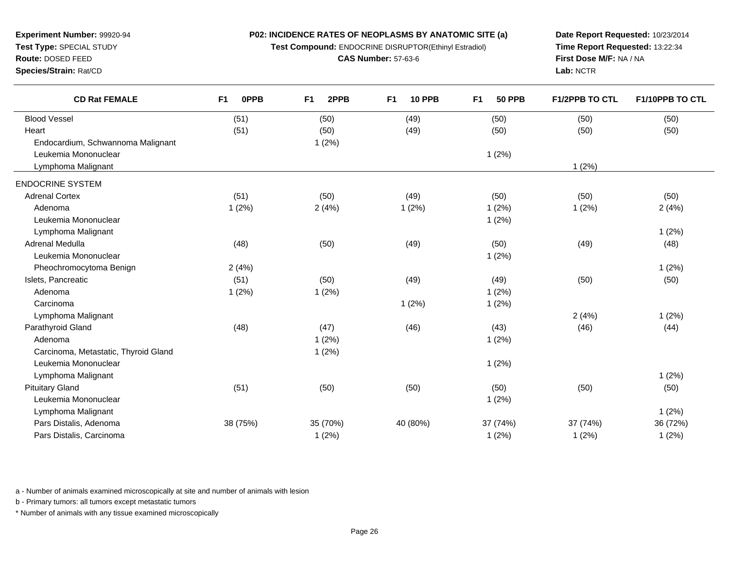**Test Compound:** ENDOCRINE DISRUPTOR(Ethinyl Estradiol)

**CAS Number:** 57-63-6

**Date Report Requested:** 10/23/2014**Time Report Requested:** 13:22:34**First Dose M/F:** NA / NA**Lab:** NCTR

| <b>CD Rat FEMALE</b>                 | <b>OPPB</b><br>F <sub>1</sub> | F <sub>1</sub><br>2PPB | F <sub>1</sub><br><b>10 PPB</b> | F1<br><b>50 PPB</b> | <b>F1/2PPB TO CTL</b> | F1/10PPB TO CTL |
|--------------------------------------|-------------------------------|------------------------|---------------------------------|---------------------|-----------------------|-----------------|
| <b>Blood Vessel</b>                  | (51)                          | (50)                   | (49)                            | (50)                | (50)                  | (50)            |
| Heart                                | (51)                          | (50)                   | (49)                            | (50)                | (50)                  | (50)            |
| Endocardium, Schwannoma Malignant    |                               | 1(2%)                  |                                 |                     |                       |                 |
| Leukemia Mononuclear                 |                               |                        |                                 | 1(2%)               |                       |                 |
| Lymphoma Malignant                   |                               |                        |                                 |                     | 1(2%)                 |                 |
| <b>ENDOCRINE SYSTEM</b>              |                               |                        |                                 |                     |                       |                 |
| <b>Adrenal Cortex</b>                | (51)                          | (50)                   | (49)                            | (50)                | (50)                  | (50)            |
| Adenoma                              | 1(2%)                         | 2(4%)                  | 1(2%)                           | 1(2%)               | 1(2%)                 | 2(4%)           |
| Leukemia Mononuclear                 |                               |                        |                                 | 1(2%)               |                       |                 |
| Lymphoma Malignant                   |                               |                        |                                 |                     |                       | 1(2%)           |
| Adrenal Medulla                      | (48)                          | (50)                   | (49)                            | (50)                | (49)                  | (48)            |
| Leukemia Mononuclear                 |                               |                        |                                 | 1(2%)               |                       |                 |
| Pheochromocytoma Benign              | 2(4%)                         |                        |                                 |                     |                       | 1(2%)           |
| Islets, Pancreatic                   | (51)                          | (50)                   | (49)                            | (49)                | (50)                  | (50)            |
| Adenoma                              | 1(2%)                         | 1(2%)                  |                                 | 1(2%)               |                       |                 |
| Carcinoma                            |                               |                        | 1(2%)                           | 1(2%)               |                       |                 |
| Lymphoma Malignant                   |                               |                        |                                 |                     | 2(4%)                 | 1(2%)           |
| Parathyroid Gland                    | (48)                          | (47)                   | (46)                            | (43)                | (46)                  | (44)            |
| Adenoma                              |                               | 1(2%)                  |                                 | 1(2%)               |                       |                 |
| Carcinoma, Metastatic, Thyroid Gland |                               | 1(2%)                  |                                 |                     |                       |                 |
| Leukemia Mononuclear                 |                               |                        |                                 | 1(2%)               |                       |                 |
| Lymphoma Malignant                   |                               |                        |                                 |                     |                       | 1(2%)           |
| <b>Pituitary Gland</b>               | (51)                          | (50)                   | (50)                            | (50)                | (50)                  | (50)            |
| Leukemia Mononuclear                 |                               |                        |                                 | 1(2%)               |                       |                 |
| Lymphoma Malignant                   |                               |                        |                                 |                     |                       | 1(2%)           |
| Pars Distalis, Adenoma               | 38 (75%)                      | 35 (70%)               | 40 (80%)                        | 37 (74%)            | 37 (74%)              | 36 (72%)        |
| Pars Distalis, Carcinoma             |                               | 1(2%)                  |                                 | 1(2%)               | 1(2%)                 | 1(2%)           |
|                                      |                               |                        |                                 |                     |                       |                 |

a - Number of animals examined microscopically at site and number of animals with lesion

b - Primary tumors: all tumors except metastatic tumors

**Experiment Number:** 99920-94**Test Type:** SPECIAL STUDY**Route:** DOSED FEED**Species/Strain:** Rat/CD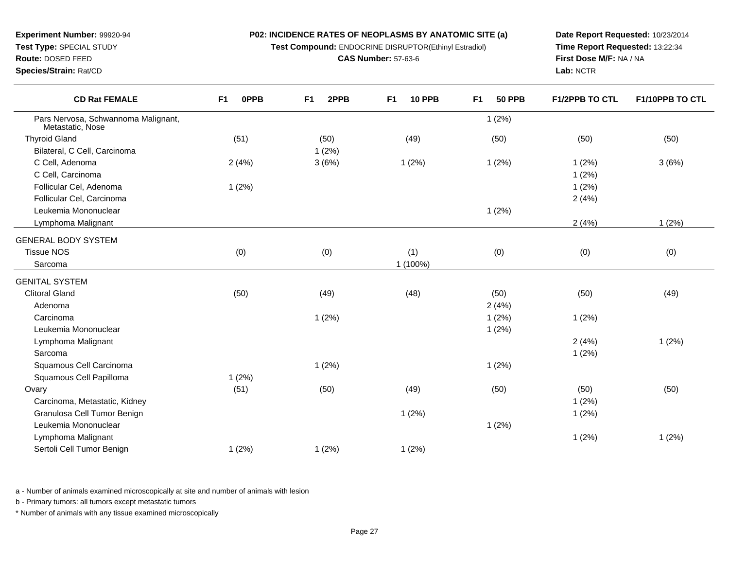**Test Compound:** ENDOCRINE DISRUPTOR(Ethinyl Estradiol)

d (51) (50) (50) (49) (50) (50) (50) (50) (50)

**F1 2PPB F1 10 PPB F1 50 PPB F1/2PPB TO CTL F1/10PPB TO CTL**

1 (2%)

**CAS Number:** 57-63-6

**Date Report Requested:** 10/23/2014**Time Report Requested:** 13:22:34**First Dose M/F:** NA / NA**Lab:** NCTR

 $(2%)$ 

 $(2%)$ 

 $(2\%)$ 

| Bilateral, C Cell, Carcinoma  |       | 1(2%) |          |       |       |       |
|-------------------------------|-------|-------|----------|-------|-------|-------|
| C Cell, Adenoma               | 2(4%) | 3(6%) | 1(2%)    | 1(2%) | 1(2%) | 3(6%) |
| C Cell, Carcinoma             |       |       |          |       | 1(2%) |       |
| Follicular Cel, Adenoma       | 1(2%) |       |          |       | 1(2%) |       |
| Follicular Cel, Carcinoma     |       |       |          |       | 2(4%) |       |
| Leukemia Mononuclear          |       |       |          | 1(2%) |       |       |
| Lymphoma Malignant            |       |       |          |       | 2(4%) | 1(2%) |
| <b>GENERAL BODY SYSTEM</b>    |       |       |          |       |       |       |
| <b>Tissue NOS</b>             | (0)   | (0)   | (1)      | (0)   | (0)   | (0)   |
| Sarcoma                       |       |       | 1 (100%) |       |       |       |
| <b>GENITAL SYSTEM</b>         |       |       |          |       |       |       |
| <b>Clitoral Gland</b>         | (50)  | (49)  | (48)     | (50)  | (50)  | (49)  |
| Adenoma                       |       |       |          | 2(4%) |       |       |
| Carcinoma                     |       | 1(2%) |          | 1(2%) | 1(2%) |       |
| Leukemia Mononuclear          |       |       |          | 1(2%) |       |       |
| Lymphoma Malignant            |       |       |          |       | 2(4%) | 1(2%) |
| Sarcoma                       |       |       |          |       | 1(2%) |       |
| Squamous Cell Carcinoma       |       | 1(2%) |          | 1(2%) |       |       |
| Squamous Cell Papilloma       | 1(2%) |       |          |       |       |       |
| Ovary                         | (51)  | (50)  | (49)     | (50)  | (50)  | (50)  |
| Carcinoma, Metastatic, Kidney |       |       |          |       | 1(2%) |       |
| Granulosa Cell Tumor Benign   |       |       | 1(2%)    |       | 1(2%) |       |
| Leukemia Mononuclear          |       |       |          | 1(2%) |       |       |
| Lymphoma Malignant            |       |       |          |       | 1(2%) | 1(2%) |
| Sertoli Cell Tumor Benign     | 1(2%) | 1(2%) | 1(2%)    |       |       |       |
|                               |       |       |          |       |       |       |

a - Number of animals examined microscopically at site and number of animals with lesion

b - Primary tumors: all tumors except metastatic tumors

**Experiment Number:** 99920-94**Test Type:** SPECIAL STUDY**Route:** DOSED FEED**Species/Strain:** Rat/CD

Metastatic, Nose

Bilateral, C Cell, Carcinoma

Thyroid Gland

**CD Rat FEMALE**

Pars Nervosa, Schwannoma Malignant,

**F1 0PPB**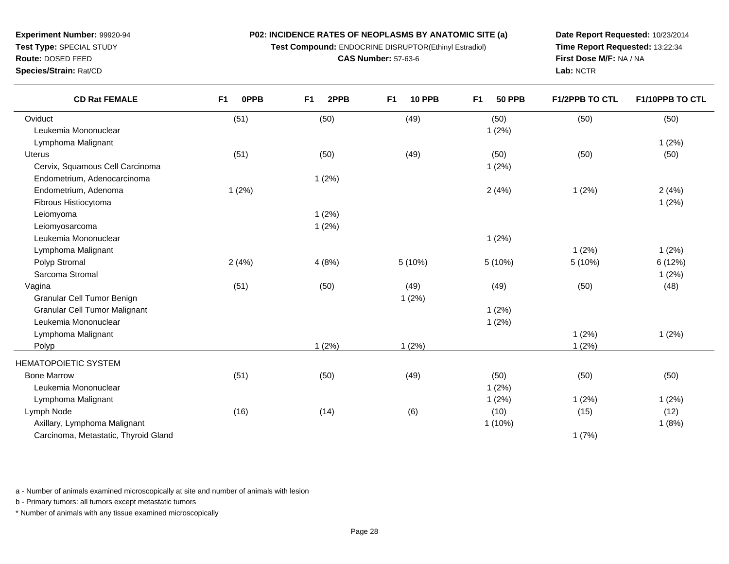**Test Compound:** ENDOCRINE DISRUPTOR(Ethinyl Estradiol)

**CAS Number:** 57-63-6

**Date Report Requested:** 10/23/2014**Time Report Requested:** 13:22:34**First Dose M/F:** NA / NA**Lab:** NCTR

| <b>CD Rat FEMALE</b> | 0PPB | 2PPB<br>F1 | <b>10 PPB</b><br>F1 | F1<br><b>50 PPB</b> | <b>F1/2PPB TO CTL</b> | F1/10PPB TO CTL |
|----------------------|------|------------|---------------------|---------------------|-----------------------|-----------------|
| Oviduct              | (51) | (50)       | (49)                | (50)                | (50)                  | (50)            |
| Leukemia Mononuclear |      |            |                     | (2%)                |                       |                 |
| Lymphoma Malignant   |      |            |                     |                     |                       | (2%)            |
| $1.14 \pm 0.000$     | (FA) | (2.0)      | (40)                | (5.0)               | (2.0)                 | (0)             |

| Lymphoma Malignant                   |       |       |         |           |        | 1(2%)   |
|--------------------------------------|-------|-------|---------|-----------|--------|---------|
| <b>Uterus</b>                        | (51)  | (50)  | (49)    | (50)      | (50)   | (50)    |
| Cervix, Squamous Cell Carcinoma      |       |       |         | 1(2%)     |        |         |
| Endometrium, Adenocarcinoma          |       | 1(2%) |         |           |        |         |
| Endometrium, Adenoma                 | 1(2%) |       |         | 2(4%)     | 1(2%)  | 2(4%)   |
| Fibrous Histiocytoma                 |       |       |         |           |        | 1(2%)   |
| Leiomyoma                            |       | 1(2%) |         |           |        |         |
| Leiomyosarcoma                       |       | 1(2%) |         |           |        |         |
| Leukemia Mononuclear                 |       |       |         | 1(2%)     |        |         |
| Lymphoma Malignant                   |       |       |         |           | 1(2%)  | 1(2%)   |
| Polyp Stromal                        | 2(4%) | 4(8%) | 5 (10%) | 5(10%)    | 5(10%) | 6 (12%) |
| Sarcoma Stromal                      |       |       |         |           |        | 1(2%)   |
| Vagina                               | (51)  | (50)  | (49)    | (49)      | (50)   | (48)    |
| Granular Cell Tumor Benign           |       |       | 1(2%)   |           |        |         |
| <b>Granular Cell Tumor Malignant</b> |       |       |         | 1(2%)     |        |         |
| Leukemia Mononuclear                 |       |       |         | 1(2%)     |        |         |
| Lymphoma Malignant                   |       |       |         |           | 1(2%)  | 1(2%)   |
| Polyp                                |       | 1(2%) | 1(2%)   |           | 1(2%)  |         |
| HEMATOPOIETIC SYSTEM                 |       |       |         |           |        |         |
| <b>Bone Marrow</b>                   | (51)  | (50)  | (49)    | (50)      | (50)   | (50)    |
| Leukemia Mononuclear                 |       |       |         | 1(2%)     |        |         |
| Lymphoma Malignant                   |       |       |         | 1(2%)     | 1(2%)  | 1(2%)   |
| Lymph Node                           | (16)  | (14)  | (6)     | (10)      | (15)   | (12)    |
| Axillary, Lymphoma Malignant         |       |       |         | $1(10\%)$ |        | 1(8%)   |
|                                      |       |       |         |           |        |         |

Carcinoma, Metastatic, Thyroid Glandd and  $1(7%)$ 

**Experiment Number:** 99920-94**Test Type:** SPECIAL STUDY**Route:** DOSED FEED**Species/Strain:** Rat/CD

a - Number of animals examined microscopically at site and number of animals with lesion

b - Primary tumors: all tumors except metastatic tumors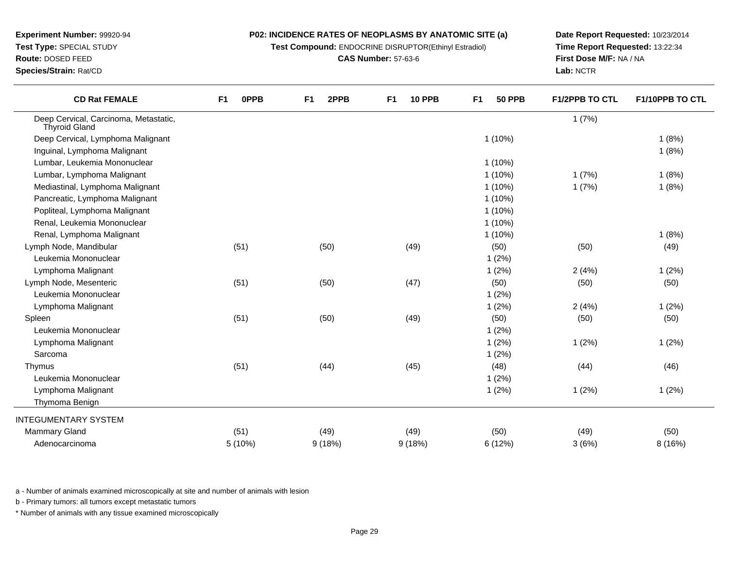**Test Compound:** ENDOCRINE DISRUPTOR(Ethinyl Estradiol)

**CAS Number:** 57-63-6

**Date Report Requested:** 10/23/2014**Time Report Requested:** 13:22:34**First Dose M/F:** NA / NA**Lab:** NCTR

| <b>CD Rat FEMALE</b>                                          | <b>OPPB</b><br>F <sub>1</sub> | 2PPB<br>F <sub>1</sub> | <b>10 PPB</b><br>F <sub>1</sub> | F <sub>1</sub><br><b>50 PPB</b> | <b>F1/2PPB TO CTL</b> | F1/10PPB TO CTL |
|---------------------------------------------------------------|-------------------------------|------------------------|---------------------------------|---------------------------------|-----------------------|-----------------|
| Deep Cervical, Carcinoma, Metastatic,<br><b>Thyroid Gland</b> |                               |                        |                                 |                                 | 1(7%)                 |                 |
| Deep Cervical, Lymphoma Malignant                             |                               |                        |                                 | $1(10\%)$                       |                       | 1(8%)           |
| Inguinal, Lymphoma Malignant                                  |                               |                        |                                 |                                 |                       | 1(8%)           |
| Lumbar, Leukemia Mononuclear                                  |                               |                        |                                 | $1(10\%)$                       |                       |                 |
| Lumbar, Lymphoma Malignant                                    |                               |                        |                                 | $1(10\%)$                       | 1(7%)                 | 1(8%)           |
| Mediastinal, Lymphoma Malignant                               |                               |                        |                                 | $1(10\%)$                       | 1(7%)                 | 1(8%)           |
| Pancreatic, Lymphoma Malignant                                |                               |                        |                                 | $1(10\%)$                       |                       |                 |
| Popliteal, Lymphoma Malignant                                 |                               |                        |                                 | $1(10\%)$                       |                       |                 |
| Renal, Leukemia Mononuclear                                   |                               |                        |                                 | $1(10\%)$                       |                       |                 |
| Renal, Lymphoma Malignant                                     |                               |                        |                                 | $1(10\%)$                       |                       | 1(8%)           |
| Lymph Node, Mandibular                                        | (51)                          | (50)                   | (49)                            | (50)                            | (50)                  | (49)            |
| Leukemia Mononuclear                                          |                               |                        |                                 | 1(2%)                           |                       |                 |
| Lymphoma Malignant                                            |                               |                        |                                 | 1(2%)                           | 2(4%)                 | 1(2%)           |
| Lymph Node, Mesenteric                                        | (51)                          | (50)                   | (47)                            | (50)                            | (50)                  | (50)            |
| Leukemia Mononuclear                                          |                               |                        |                                 | 1(2%)                           |                       |                 |
| Lymphoma Malignant                                            |                               |                        |                                 | 1(2%)                           | 2(4%)                 | 1(2%)           |
| Spleen                                                        | (51)                          | (50)                   | (49)                            | (50)                            | (50)                  | (50)            |
| Leukemia Mononuclear                                          |                               |                        |                                 | 1(2%)                           |                       |                 |
| Lymphoma Malignant                                            |                               |                        |                                 | 1(2%)                           | 1(2%)                 | 1(2%)           |
| Sarcoma                                                       |                               |                        |                                 | 1(2%)                           |                       |                 |
| Thymus                                                        | (51)                          | (44)                   | (45)                            | (48)                            | (44)                  | (46)            |
| Leukemia Mononuclear                                          |                               |                        |                                 | 1(2%)                           |                       |                 |
| Lymphoma Malignant                                            |                               |                        |                                 | 1(2%)                           | 1(2%)                 | 1(2%)           |
| Thymoma Benign                                                |                               |                        |                                 |                                 |                       |                 |
| <b>INTEGUMENTARY SYSTEM</b>                                   |                               |                        |                                 |                                 |                       |                 |
| <b>Mammary Gland</b>                                          | (51)                          | (49)                   | (49)                            | (50)                            | (49)                  | (50)            |
| Adenocarcinoma                                                | 5 (10%)                       | 9(18%)                 | 9(18%)                          | 6 (12%)                         | 3(6%)                 | 8 (16%)         |

a - Number of animals examined microscopically at site and number of animals with lesion

b - Primary tumors: all tumors except metastatic tumors

**Experiment Number:** 99920-94**Test Type:** SPECIAL STUDY**Route:** DOSED FEED**Species/Strain:** Rat/CD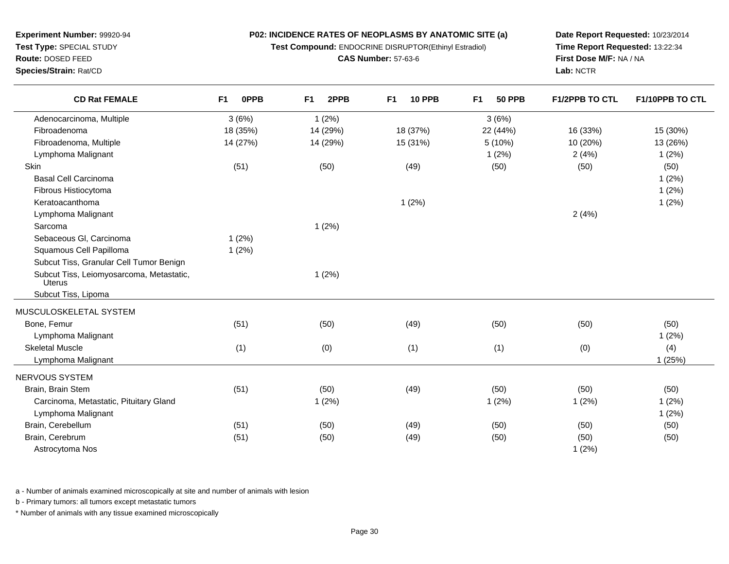**Route:** DOSED FEED **Species/Strain:** Rat/CD**CAS Number:** 57-63-6**First Dose M/F:** NA / NA**Lab:** NCTR**CD Rat FEMALE F1 0PPB F1 2PPB F1 10 PPB F1 50 PPB F1/2PPB TO CTL F1/10PPB TO CTL** Adenocarcinoma, Multiplee 3 (6%)  $(3.6\%)$  3 (6%) Fibroadenoma 18 (35%) 14 (29%) 18 (37%) 22 (44%) 16 (33%) 15 (30%) Fibroadenoma, Multiple 14 (27%) 14 (29%) 15 (31%) 5 (10%) 10 (20%) 13 (26%) Lymphoma Malignantt the contract of  $1(2\%)$  2 (4%) 1 (2%) **Skin** n (51) (50) (49) (50) (50) (50) (50) Basal Cell Carcinoma $1 (2\%)$ Fibrous Histiocytoma $1 (2\%)$ Keratoacanthomaa and  $1(2\%)$ Lymphoma Malignantt the contract of  $2(4%)$ Sarcomaa and  $1 (2\%)$ Sebaceous Gl, Carcinoma 1 (2%) Squamous Cell Papilloma 1 (2%) Subcut Tiss, Granular Cell Tumor Benign Subcut Tiss, Leiomyosarcoma, Metastatic,Uterus Subcut Tiss, Lipoma1 (2%)MUSCULOSKELETAL SYSTEMBone, Femur (51) (50) (49) (50) (50) (50) Lymphoma Malignantt the contract of  $1(2\%)$ Skeletal Musclee (1) (0) (1) (1) (0) (1) (1) (0) (4) Lymphoma Malignantt the contract of the contract of the contract of the contract of the contract of the contract of the contract of the contract of the contract of the contract of the contract of the contract of the contract of the contrac NERVOUS SYSTEM Brain, Brain Stem (51) (50) (49) (50) (50) (50) Carcinoma, Metastatic, Pituitary Glandd 1 (2%) 1 (2%) 1 (2%) 1 (2%) 1 (2%) 1 (2%) 1 (2%) Lymphoma Malignantt the contract of  $1(2\%)$ Brain, Cerebellum (51) (50) (49) (50) (50) (50) Brain, Cerebrumm (51) (50) (49) (50) (50) (50) Astrocytoma Noss and  $1(2\%)$ 

**P02: INCIDENCE RATES OF NEOPLASMS BY ANATOMIC SITE (a)Test Compound:** ENDOCRINE DISRUPTOR(Ethinyl Estradiol)

**Date Report Requested:** 10/23/2014**Time Report Requested:** 13:22:34

a - Number of animals examined microscopically at site and number of animals with lesion

b - Primary tumors: all tumors except metastatic tumors

**Experiment Number:** 99920-94**Test Type:** SPECIAL STUDY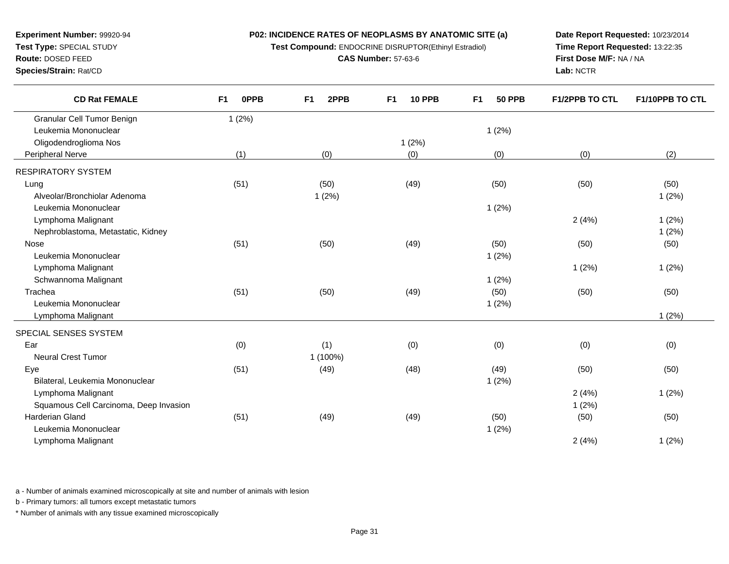**Test Compound:** ENDOCRINE DISRUPTOR(Ethinyl Estradiol)

**F1 2PPB F1 10 PPB F1 50 PPB F1/2PPB TO CTL F1/10PPB TO CTL**

**CAS Number:** 57-63-6

**Date Report Requested:** 10/23/2014**Time Report Requested:** 13:22:35**First Dose M/F:** NA / NA**Lab:** NCTR

| Leukemia Mononuclear                   |      |          |       | 1(2%) |       |       |
|----------------------------------------|------|----------|-------|-------|-------|-------|
| Oligodendroglioma Nos                  |      |          | 1(2%) |       |       |       |
| Peripheral Nerve                       | (1)  | (0)      | (0)   | (0)   | (0)   | (2)   |
| RESPIRATORY SYSTEM                     |      |          |       |       |       |       |
| Lung                                   | (51) | (50)     | (49)  | (50)  | (50)  | (50)  |
| Alveolar/Bronchiolar Adenoma           |      | 1(2%)    |       |       |       | 1(2%) |
| Leukemia Mononuclear                   |      |          |       | 1(2%) |       |       |
| Lymphoma Malignant                     |      |          |       |       | 2(4%) | 1(2%) |
| Nephroblastoma, Metastatic, Kidney     |      |          |       |       |       | 1(2%) |
| Nose                                   | (51) | (50)     | (49)  | (50)  | (50)  | (50)  |
| Leukemia Mononuclear                   |      |          |       | 1(2%) |       |       |
| Lymphoma Malignant                     |      |          |       |       | 1(2%) | 1(2%) |
| Schwannoma Malignant                   |      |          |       | 1(2%) |       |       |
| Trachea                                | (51) | (50)     | (49)  | (50)  | (50)  | (50)  |
| Leukemia Mononuclear                   |      |          |       | 1(2%) |       |       |
| Lymphoma Malignant                     |      |          |       |       |       | 1(2%) |
| SPECIAL SENSES SYSTEM                  |      |          |       |       |       |       |
| Ear                                    | (0)  | (1)      | (0)   | (0)   | (0)   | (0)   |
| <b>Neural Crest Tumor</b>              |      | 1 (100%) |       |       |       |       |
| Eye                                    | (51) | (49)     | (48)  | (49)  | (50)  | (50)  |
| Bilateral, Leukemia Mononuclear        |      |          |       | 1(2%) |       |       |
| Lymphoma Malignant                     |      |          |       |       | 2(4%) | 1(2%) |
| Squamous Cell Carcinoma, Deep Invasion |      |          |       |       | 1(2%) |       |
| Harderian Gland                        | (51) | (49)     | (49)  | (50)  | (50)  | (50)  |
| Leukemia Mononuclear                   |      |          |       | 1(2%) |       |       |
| Lymphoma Malignant                     |      |          |       |       | 2(4%) | 1(2%) |
|                                        |      |          |       |       |       |       |
|                                        |      |          |       |       |       |       |

a - Number of animals examined microscopically at site and number of animals with lesion

b - Primary tumors: all tumors except metastatic tumors

**Experiment Number:** 99920-94**Test Type:** SPECIAL STUDY**Route:** DOSED FEED**Species/Strain:** Rat/CD

**CD Rat FEMALE**

Granular Cell Tumor Benign

**F1 0PPB**

1 (2%)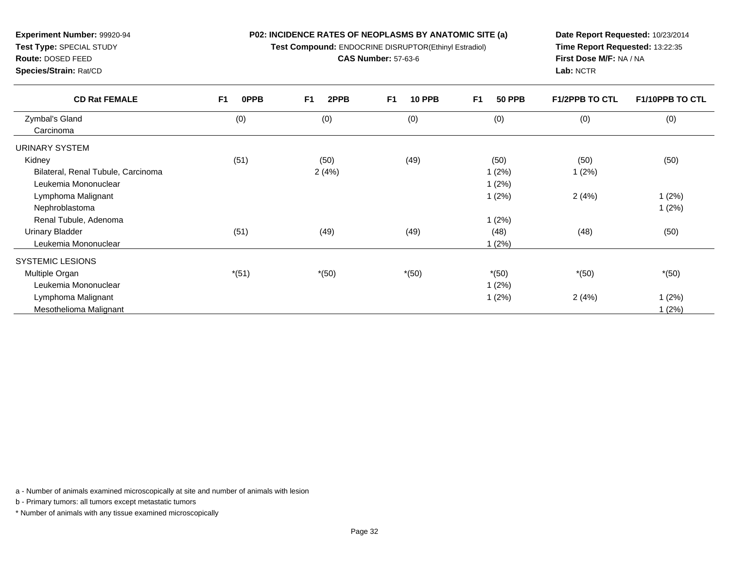**Test Compound:** ENDOCRINE DISRUPTOR(Ethinyl Estradiol)

**CAS Number:** 57-63-6

**Date Report Requested:** 10/23/2014**Time Report Requested:** 13:22:35**First Dose M/F:** NA / NA**Lab:** NCTR

| <b>CD Rat FEMALE</b>               | F1<br><b>OPPB</b> | F <sub>1</sub><br>2PPB | F1<br><b>10 PPB</b> | F1<br><b>50 PPB</b> | <b>F1/2PPB TO CTL</b> | <b>F1/10PPB TO CTL</b> |
|------------------------------------|-------------------|------------------------|---------------------|---------------------|-----------------------|------------------------|
| Zymbal's Gland                     | (0)               | (0)                    | (0)                 | (0)                 | (0)                   | (0)                    |
| Carcinoma                          |                   |                        |                     |                     |                       |                        |
| URINARY SYSTEM                     |                   |                        |                     |                     |                       |                        |
| Kidney                             | (51)              | (50)                   | (49)                | (50)                | (50)                  | (50)                   |
| Bilateral, Renal Tubule, Carcinoma |                   | 2(4%)                  |                     | 1(2%)               | 1(2%)                 |                        |
| Leukemia Mononuclear               |                   |                        |                     | 1(2%)               |                       |                        |
| Lymphoma Malignant                 |                   |                        |                     | 1(2%)               | 2(4%)                 | 1(2%)                  |
| Nephroblastoma                     |                   |                        |                     |                     |                       | 1(2%)                  |
| Renal Tubule, Adenoma              |                   |                        |                     | 1(2%)               |                       |                        |
| <b>Urinary Bladder</b>             | (51)              | (49)                   | (49)                | (48)                | (48)                  | (50)                   |
| Leukemia Mononuclear               |                   |                        |                     | 1(2%)               |                       |                        |
| <b>SYSTEMIC LESIONS</b>            |                   |                        |                     |                     |                       |                        |
| Multiple Organ                     | $*(51)$           | $*(50)$                | $*(50)$             | $*(50)$             | $*(50)$               | $*(50)$                |
| Leukemia Mononuclear               |                   |                        |                     | 1(2%)               |                       |                        |
| Lymphoma Malignant                 |                   |                        |                     | 1(2%)               | 2(4%)                 | 1(2%)                  |

t the contract of  $1(2\%)$ 

a - Number of animals examined microscopically at site and number of animals with lesion

b - Primary tumors: all tumors except metastatic tumors

**Experiment Number:** 99920-94**Test Type:** SPECIAL STUDY**Route:** DOSED FEED**Species/Strain:** Rat/CD

Mesothelioma Malignant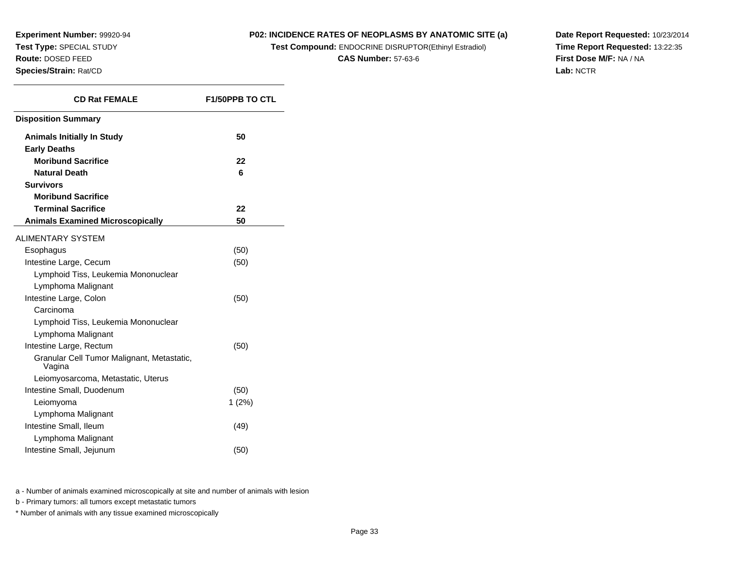#### **P02: INCIDENCE RATES OF NEOPLASMS BY ANATOMIC SITE (a)**

**Test Compound:** ENDOCRINE DISRUPTOR(Ethinyl Estradiol)

**CAS Number:** 57-63-6

**Date Report Requested:** 10/23/2014**Time Report Requested:** 13:22:35**First Dose M/F:** NA / NA**Lab:** NCTR

| <b>CD Rat FEMALE</b>                                 | <b>F1/50PPB TO CTL</b> |  |  |
|------------------------------------------------------|------------------------|--|--|
| <b>Disposition Summary</b>                           |                        |  |  |
| <b>Animals Initially In Study</b>                    | 50                     |  |  |
| <b>Early Deaths</b>                                  |                        |  |  |
| <b>Moribund Sacrifice</b>                            | 22                     |  |  |
| <b>Natural Death</b>                                 | 6                      |  |  |
| <b>Survivors</b>                                     |                        |  |  |
| <b>Moribund Sacrifice</b>                            |                        |  |  |
| <b>Terminal Sacrifice</b>                            | 22                     |  |  |
| <b>Animals Examined Microscopically</b>              | 50                     |  |  |
| <b>ALIMENTARY SYSTEM</b>                             |                        |  |  |
| Esophagus                                            | (50)                   |  |  |
| Intestine Large, Cecum                               | (50)                   |  |  |
| Lymphoid Tiss, Leukemia Mononuclear                  |                        |  |  |
| Lymphoma Malignant                                   |                        |  |  |
| Intestine Large, Colon                               | (50)                   |  |  |
| Carcinoma                                            |                        |  |  |
| Lymphoid Tiss, Leukemia Mononuclear                  |                        |  |  |
| Lymphoma Malignant                                   |                        |  |  |
| Intestine Large, Rectum                              | (50)                   |  |  |
| Granular Cell Tumor Malignant, Metastatic,<br>Vagina |                        |  |  |
| Leiomyosarcoma, Metastatic, Uterus                   |                        |  |  |
| Intestine Small, Duodenum                            | (50)                   |  |  |
| Leiomyoma                                            | 1(2%)                  |  |  |
| Lymphoma Malignant                                   |                        |  |  |
| Intestine Small, Ileum                               | (49)                   |  |  |
| Lymphoma Malignant                                   |                        |  |  |
| Intestine Small, Jejunum                             | (50)                   |  |  |
|                                                      |                        |  |  |

a - Number of animals examined microscopically at site and number of animals with lesion

b - Primary tumors: all tumors except metastatic tumors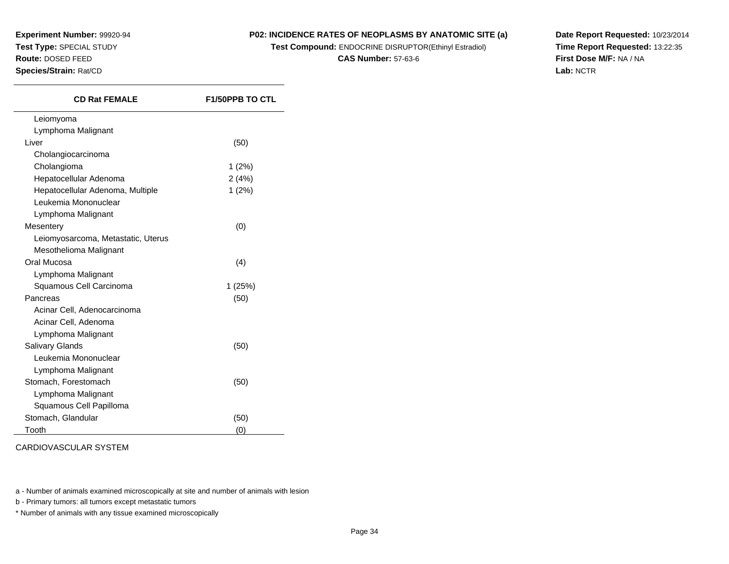#### **P02: INCIDENCE RATES OF NEOPLASMS BY ANATOMIC SITE (a)**

**Test Compound:** ENDOCRINE DISRUPTOR(Ethinyl Estradiol)

**CAS Number:** 57-63-6

**Date Report Requested:** 10/23/2014**Time Report Requested:** 13:22:35**First Dose M/F:** NA / NA**Lab:** NCTR

| <b>CD Rat FEMALE</b>               | <b>F1/50PPB TO CTL</b> |  |  |
|------------------------------------|------------------------|--|--|
| Leiomyoma                          |                        |  |  |
| Lymphoma Malignant                 |                        |  |  |
| Liver                              | (50)                   |  |  |
| Cholangiocarcinoma                 |                        |  |  |
| Cholangioma                        | 1(2%)                  |  |  |
| Hepatocellular Adenoma             | 2(4%)                  |  |  |
| Hepatocellular Adenoma, Multiple   | 1(2%)                  |  |  |
| Leukemia Mononuclear               |                        |  |  |
| Lymphoma Malignant                 |                        |  |  |
| Mesentery                          | (0)                    |  |  |
| Leiomyosarcoma, Metastatic, Uterus |                        |  |  |
| Mesothelioma Malignant             |                        |  |  |
| Oral Mucosa                        | (4)                    |  |  |
| Lymphoma Malignant                 |                        |  |  |
| Squamous Cell Carcinoma            | 1(25%)                 |  |  |
| Pancreas                           | (50)                   |  |  |
| Acinar Cell, Adenocarcinoma        |                        |  |  |
| Acinar Cell, Adenoma               |                        |  |  |
| Lymphoma Malignant                 |                        |  |  |
| <b>Salivary Glands</b>             | (50)                   |  |  |
| Leukemia Mononuclear               |                        |  |  |
| Lymphoma Malignant                 |                        |  |  |
| Stomach, Forestomach               | (50)                   |  |  |
| Lymphoma Malignant                 |                        |  |  |
| Squamous Cell Papilloma            |                        |  |  |
| Stomach, Glandular                 | (50)                   |  |  |
| Tooth                              | (0)                    |  |  |

CARDIOVASCULAR SYSTEM

a - Number of animals examined microscopically at site and number of animals with lesion

b - Primary tumors: all tumors except metastatic tumors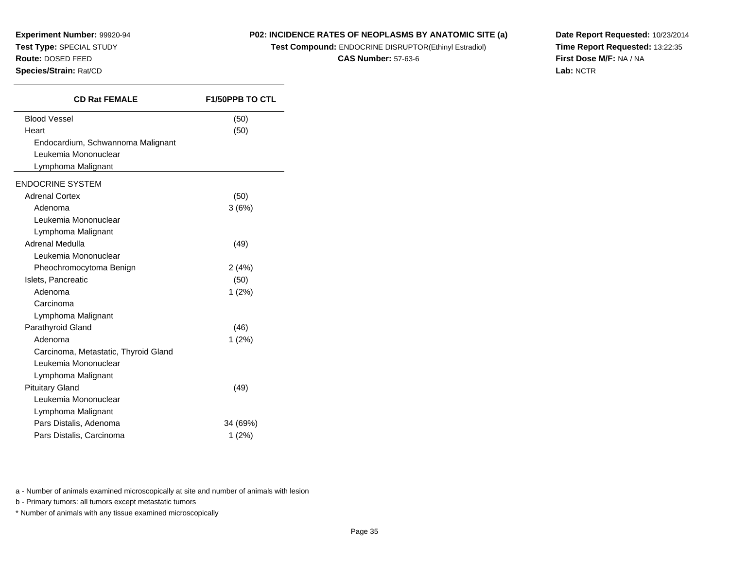#### **P02: INCIDENCE RATES OF NEOPLASMS BY ANATOMIC SITE (a)**

**Test Compound:** ENDOCRINE DISRUPTOR(Ethinyl Estradiol)

**CAS Number:** 57-63-6

**Date Report Requested:** 10/23/2014**Time Report Requested:** 13:22:35**First Dose M/F:** NA / NA**Lab:** NCTR

| <b>CD Rat FEMALE</b>                 | <b>F1/50PPB TO CTL</b> |
|--------------------------------------|------------------------|
| <b>Blood Vessel</b>                  | (50)                   |
| Heart                                | (50)                   |
| Endocardium, Schwannoma Malignant    |                        |
| Leukemia Mononuclear                 |                        |
| Lymphoma Malignant                   |                        |
| <b>ENDOCRINE SYSTEM</b>              |                        |
| <b>Adrenal Cortex</b>                | (50)                   |
| Adenoma                              | 3(6%)                  |
| Leukemia Mononuclear                 |                        |
| Lymphoma Malignant                   |                        |
| Adrenal Medulla                      | (49)                   |
| Leukemia Mononuclear                 |                        |
| Pheochromocytoma Benign              | 2(4%)                  |
| Islets, Pancreatic                   | (50)                   |
| Adenoma                              | 1(2%)                  |
| Carcinoma                            |                        |
| Lymphoma Malignant                   |                        |
| Parathyroid Gland                    | (46)                   |
| Adenoma                              | 1(2%)                  |
| Carcinoma, Metastatic, Thyroid Gland |                        |
| Leukemia Mononuclear                 |                        |
| Lymphoma Malignant                   |                        |
| <b>Pituitary Gland</b>               | (49)                   |
| Leukemia Mononuclear                 |                        |
| Lymphoma Malignant                   |                        |
| Pars Distalis, Adenoma               | 34 (69%)               |
| Pars Distalis, Carcinoma             | 1(2%)                  |

a - Number of animals examined microscopically at site and number of animals with lesion

b - Primary tumors: all tumors except metastatic tumors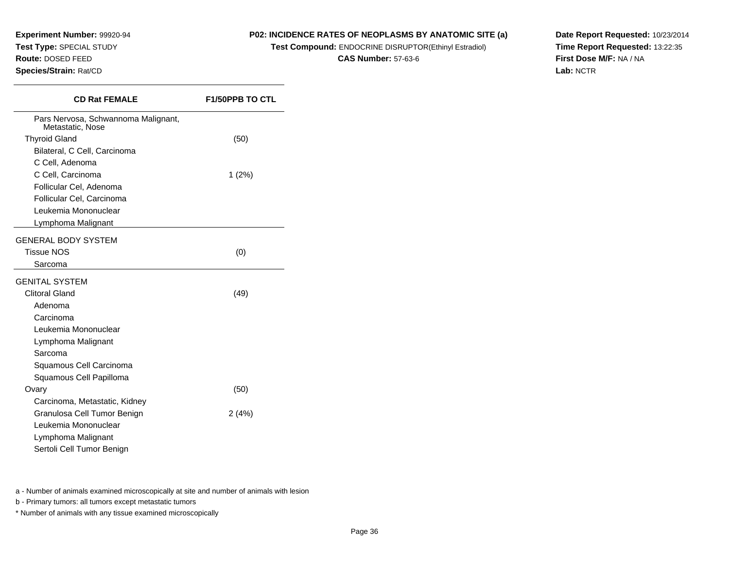**Experiment Number:** 99920-94**Test Type:** SPECIAL STUDY**Route:** DOSED FEED

**Species/Strain:** Rat/CD

**P02: INCIDENCE RATES OF NEOPLASMS BY ANATOMIC SITE (a)**

**Test Compound:** ENDOCRINE DISRUPTOR(Ethinyl Estradiol)

**CAS Number:** 57-63-6

**Date Report Requested:** 10/23/2014**Time Report Requested:** 13:22:35**First Dose M/F:** NA / NA**Lab:** NCTR

| <b>CD Rat FEMALE</b>                                    | <b>F1/50PPB TO CTL</b> |
|---------------------------------------------------------|------------------------|
| Pars Nervosa, Schwannoma Malignant,<br>Metastatic, Nose |                        |
| <b>Thyroid Gland</b>                                    | (50)                   |
| Bilateral, C Cell, Carcinoma                            |                        |
| C Cell, Adenoma                                         |                        |
| C Cell, Carcinoma                                       | $1(2\%)$               |
| Follicular Cel, Adenoma                                 |                        |
| Follicular Cel, Carcinoma                               |                        |
| Leukemia Mononuclear                                    |                        |
| Lymphoma Malignant                                      |                        |
| GENERAL BODY SYSTEM                                     |                        |
| <b>Tissue NOS</b>                                       | (0)                    |
| Sarcoma                                                 |                        |
| GENITAL SYSTEM                                          |                        |
| <b>Clitoral Gland</b>                                   | (49)                   |
| Adenoma                                                 |                        |
| Carcinoma                                               |                        |
| Leukemia Mononuclear                                    |                        |
| Lymphoma Malignant                                      |                        |
| Sarcoma                                                 |                        |
| Squamous Cell Carcinoma                                 |                        |
| Squamous Cell Papilloma                                 |                        |
| Ovary                                                   | (50)                   |
| Carcinoma, Metastatic, Kidney                           |                        |
| Granulosa Cell Tumor Benign                             | 2(4%)                  |
| Leukemia Mononuclear                                    |                        |
| Lymphoma Malignant                                      |                        |
| Sertoli Cell Tumor Benign                               |                        |

a - Number of animals examined microscopically at site and number of animals with lesion

b - Primary tumors: all tumors except metastatic tumors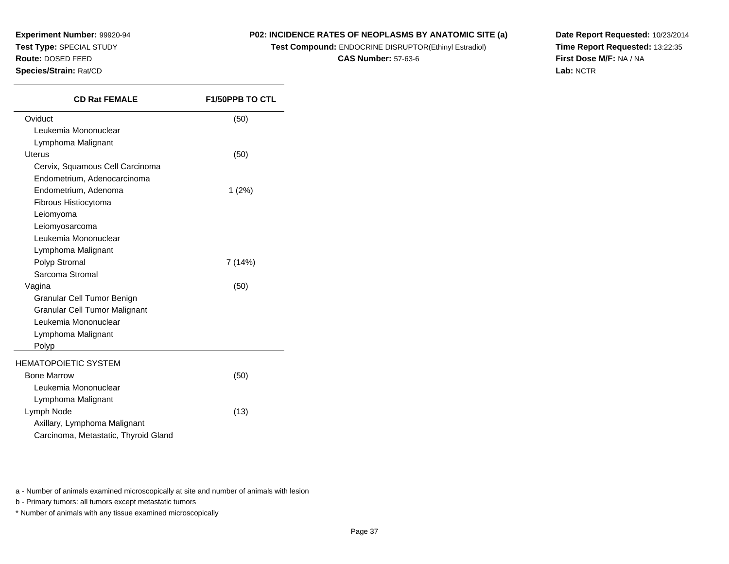#### **P02: INCIDENCE RATES OF NEOPLASMS BY ANATOMIC SITE (a)**

**Test Compound:** ENDOCRINE DISRUPTOR(Ethinyl Estradiol)

**CAS Number:** 57-63-6

**Date Report Requested:** 10/23/2014**Time Report Requested:** 13:22:35**First Dose M/F:** NA / NA**Lab:** NCTR

| <b>CD Rat FEMALE</b>                 | <b>F1/50PPB TO CTL</b> |
|--------------------------------------|------------------------|
| Oviduct                              | (50)                   |
| Leukemia Mononuclear                 |                        |
| Lymphoma Malignant                   |                        |
| Uterus                               | (50)                   |
| Cervix, Squamous Cell Carcinoma      |                        |
| Endometrium, Adenocarcinoma          |                        |
| Endometrium, Adenoma                 | 1(2%)                  |
| Fibrous Histiocytoma                 |                        |
| Leiomyoma                            |                        |
| Leiomyosarcoma                       |                        |
| Leukemia Mononuclear                 |                        |
| Lymphoma Malignant                   |                        |
| Polyp Stromal                        | 7 (14%)                |
| Sarcoma Stromal                      |                        |
| Vagina                               | (50)                   |
| Granular Cell Tumor Benign           |                        |
| Granular Cell Tumor Malignant        |                        |
| Leukemia Mononuclear                 |                        |
| Lymphoma Malignant                   |                        |
| Polyp                                |                        |
| <b>HEMATOPOIETIC SYSTEM</b>          |                        |
| <b>Bone Marrow</b>                   | (50)                   |
| Leukemia Mononuclear                 |                        |
| Lymphoma Malignant                   |                        |
| Lymph Node                           | (13)                   |
| Axillary, Lymphoma Malignant         |                        |
| Carcinoma, Metastatic, Thyroid Gland |                        |

a - Number of animals examined microscopically at site and number of animals with lesion

b - Primary tumors: all tumors except metastatic tumors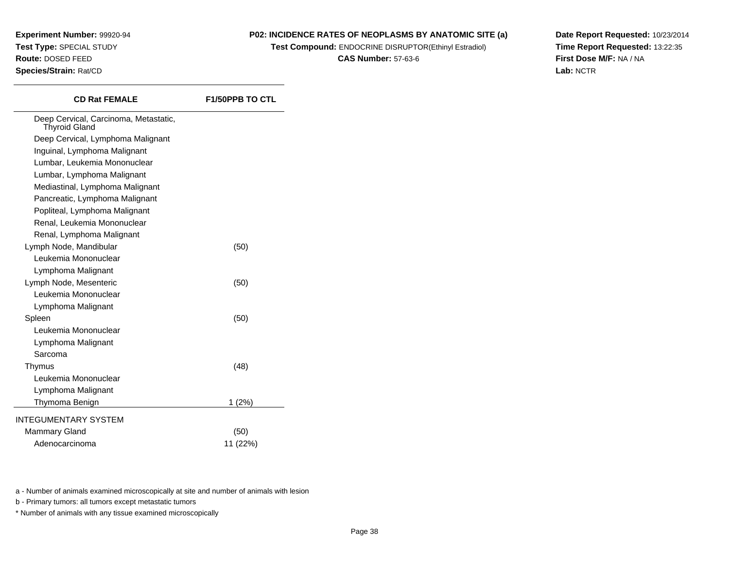#### **P02: INCIDENCE RATES OF NEOPLASMS BY ANATOMIC SITE (a)**

**Test Compound:** ENDOCRINE DISRUPTOR(Ethinyl Estradiol)

**CAS Number:** 57-63-6

**Date Report Requested:** 10/23/2014**Time Report Requested:** 13:22:35**First Dose M/F:** NA / NA**Lab:** NCTR

| <b>CD Rat FEMALE</b>                                          | <b>F1/50PPB TO CTL</b> |
|---------------------------------------------------------------|------------------------|
| Deep Cervical, Carcinoma, Metastatic,<br><b>Thyroid Gland</b> |                        |
| Deep Cervical, Lymphoma Malignant                             |                        |
| Inguinal, Lymphoma Malignant                                  |                        |
| Lumbar, Leukemia Mononuclear                                  |                        |
| Lumbar, Lymphoma Malignant                                    |                        |
| Mediastinal, Lymphoma Malignant                               |                        |
| Pancreatic, Lymphoma Malignant                                |                        |
| Popliteal, Lymphoma Malignant                                 |                        |
| Renal, Leukemia Mononuclear                                   |                        |
| Renal, Lymphoma Malignant                                     |                        |
| Lymph Node, Mandibular                                        | (50)                   |
| Leukemia Mononuclear                                          |                        |
| Lymphoma Malignant                                            |                        |
| Lymph Node, Mesenteric                                        | (50)                   |
| Leukemia Mononuclear                                          |                        |
| Lymphoma Malignant                                            |                        |
| Spleen                                                        | (50)                   |
| Leukemia Mononuclear                                          |                        |
| Lymphoma Malignant                                            |                        |
| Sarcoma                                                       |                        |
| Thymus                                                        | (48)                   |
| Leukemia Mononuclear                                          |                        |
| Lymphoma Malignant                                            |                        |
| Thymoma Benign                                                | 1(2%)                  |
| <b>INTEGUMENTARY SYSTEM</b>                                   |                        |
| Mammary Gland                                                 | (50)                   |
| Adenocarcinoma                                                | 11 (22%)               |
|                                                               |                        |
|                                                               |                        |

a - Number of animals examined microscopically at site and number of animals with lesion

b - Primary tumors: all tumors except metastatic tumors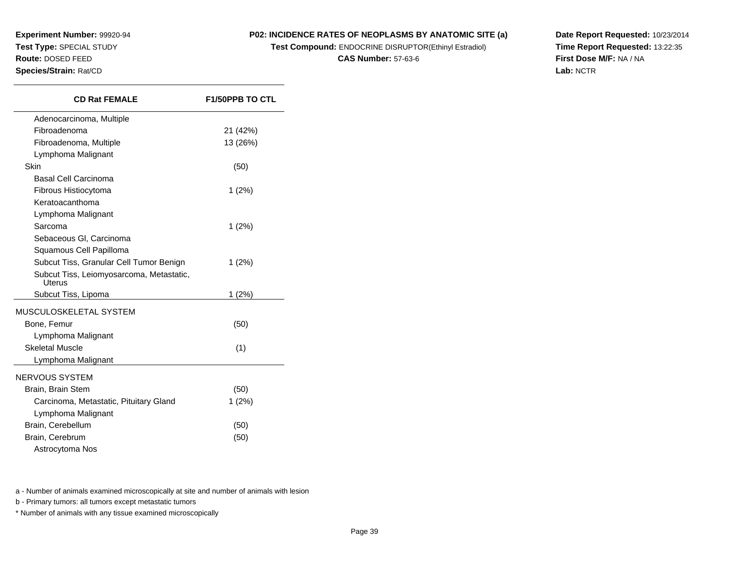$\overline{\phantom{a}}$ 

#### **P02: INCIDENCE RATES OF NEOPLASMS BY ANATOMIC SITE (a)**

**Test Compound:** ENDOCRINE DISRUPTOR(Ethinyl Estradiol)

**CAS Number:** 57-63-6

**Date Report Requested:** 10/23/2014**Time Report Requested:** 13:22:35**First Dose M/F:** NA / NA**Lab:** NCTR

| <b>CD Rat FEMALE</b>                               | <b>F1/50PPB TO CTL</b> |  |  |
|----------------------------------------------------|------------------------|--|--|
| Adenocarcinoma, Multiple                           |                        |  |  |
| Fibroadenoma                                       | 21 (42%)               |  |  |
| Fibroadenoma, Multiple                             | 13 (26%)               |  |  |
| Lymphoma Malignant                                 |                        |  |  |
| Skin                                               | (50)                   |  |  |
| Basal Cell Carcinoma                               |                        |  |  |
| Fibrous Histiocytoma                               | 1(2%)                  |  |  |
| Keratoacanthoma                                    |                        |  |  |
| Lymphoma Malignant                                 |                        |  |  |
| Sarcoma                                            | 1(2%)                  |  |  |
| Sebaceous GI, Carcinoma                            |                        |  |  |
| Squamous Cell Papilloma                            |                        |  |  |
| Subcut Tiss, Granular Cell Tumor Benign            | 1(2%)                  |  |  |
| Subcut Tiss, Leiomyosarcoma, Metastatic,<br>Uterus |                        |  |  |
| Subcut Tiss, Lipoma                                | $1(2\%)$               |  |  |
| MUSCULOSKELETAL SYSTEM                             |                        |  |  |
| Bone, Femur                                        | (50)                   |  |  |
| Lymphoma Malignant                                 |                        |  |  |
| <b>Skeletal Muscle</b>                             | (1)                    |  |  |
| Lymphoma Malignant                                 |                        |  |  |
| NERVOUS SYSTEM                                     |                        |  |  |
| Brain, Brain Stem                                  | (50)                   |  |  |
| Carcinoma, Metastatic, Pituitary Gland             | 1(2%)                  |  |  |
| Lymphoma Malignant                                 |                        |  |  |
| Brain, Cerebellum                                  | (50)                   |  |  |
| Brain, Cerebrum                                    | (50)                   |  |  |
| Astrocytoma Nos                                    |                        |  |  |
|                                                    |                        |  |  |

a - Number of animals examined microscopically at site and number of animals with lesion

b - Primary tumors: all tumors except metastatic tumors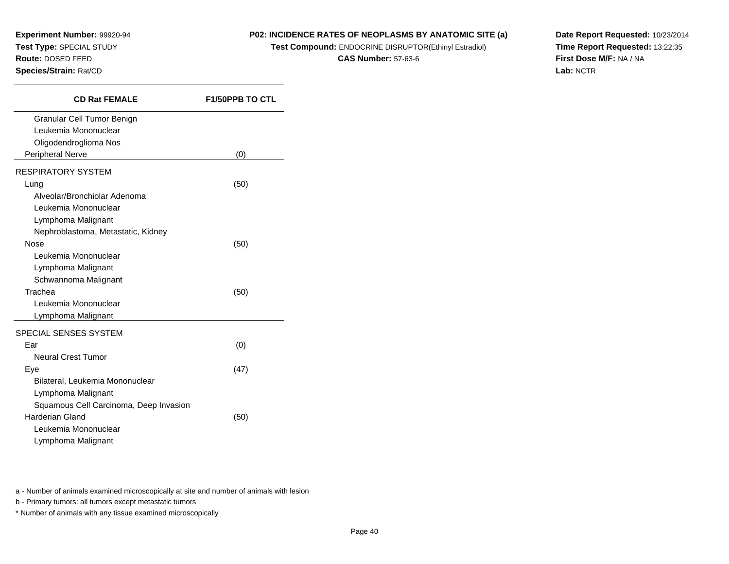#### **P02: INCIDENCE RATES OF NEOPLASMS BY ANATOMIC SITE (a)**

**Test Compound:** ENDOCRINE DISRUPTOR(Ethinyl Estradiol)

**CAS Number:** 57-63-6

**Date Report Requested:** 10/23/2014**Time Report Requested:** 13:22:35**First Dose M/F:** NA / NA**Lab:** NCTR

| <b>CD Rat FEMALE</b>                   | <b>F1/50PPB TO CTL</b> |
|----------------------------------------|------------------------|
| Granular Cell Tumor Benign             |                        |
| Leukemia Mononuclear                   |                        |
| Oligodendroglioma Nos                  |                        |
| <b>Peripheral Nerve</b>                | (0)                    |
| <b>RESPIRATORY SYSTEM</b>              |                        |
| Lung                                   | (50)                   |
| Alveolar/Bronchiolar Adenoma           |                        |
| Leukemia Mononuclear                   |                        |
| Lymphoma Malignant                     |                        |
| Nephroblastoma, Metastatic, Kidney     |                        |
| Nose                                   | (50)                   |
| Leukemia Mononuclear                   |                        |
| Lymphoma Malignant                     |                        |
| Schwannoma Malignant                   |                        |
| Trachea                                | (50)                   |
| Leukemia Mononuclear                   |                        |
| Lymphoma Malignant                     |                        |
| SPECIAL SENSES SYSTEM                  |                        |
| Far                                    | (0)                    |
| <b>Neural Crest Tumor</b>              |                        |
| Eye                                    | (47)                   |
| Bilateral, Leukemia Mononuclear        |                        |
| Lymphoma Malignant                     |                        |
| Squamous Cell Carcinoma, Deep Invasion |                        |
| <b>Harderian Gland</b>                 | (50)                   |
| Leukemia Mononuclear                   |                        |
| Lymphoma Malignant                     |                        |

a - Number of animals examined microscopically at site and number of animals with lesion

b - Primary tumors: all tumors except metastatic tumors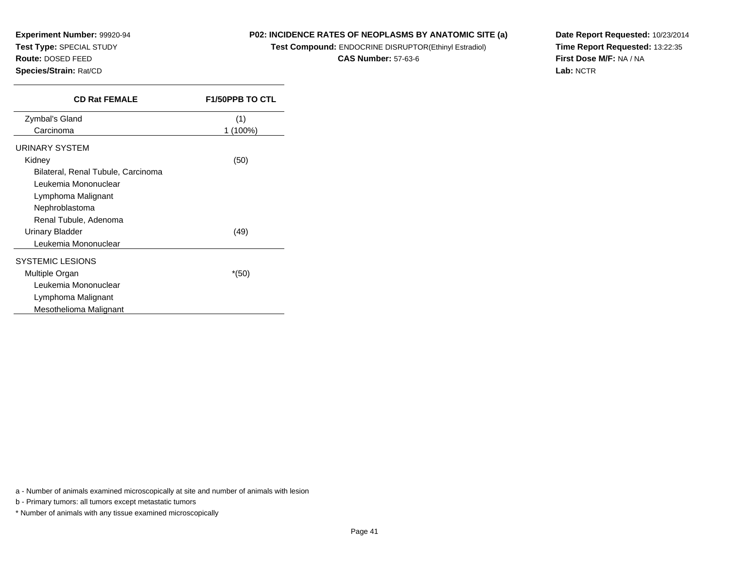#### **P02: INCIDENCE RATES OF NEOPLASMS BY ANATOMIC SITE (a)**

**Test Compound:** ENDOCRINE DISRUPTOR(Ethinyl Estradiol)

**CAS Number:** 57-63-6

**Date Report Requested:** 10/23/2014**Time Report Requested:** 13:22:35**First Dose M/F:** NA / NA**Lab:** NCTR

| <b>CD Rat FEMALE</b>               | <b>F1/50PPB TO CTL</b> |
|------------------------------------|------------------------|
| Zymbal's Gland                     | (1)                    |
| Carcinoma                          | 1 (100%)               |
| URINARY SYSTEM                     |                        |
| Kidney                             | (50)                   |
| Bilateral, Renal Tubule, Carcinoma |                        |
| Leukemia Mononuclear               |                        |
| Lymphoma Malignant                 |                        |
| Nephroblastoma                     |                        |
| Renal Tubule, Adenoma              |                        |
| Urinary Bladder                    | (49)                   |
| Leukemia Mononuclear               |                        |
| <b>SYSTEMIC LESIONS</b>            |                        |
| Multiple Organ                     | $*(50)$                |
| Leukemia Mononuclear               |                        |
| Lymphoma Malignant                 |                        |
| Mesothelioma Malignant             |                        |

a - Number of animals examined microscopically at site and number of animals with lesion

b - Primary tumors: all tumors except metastatic tumors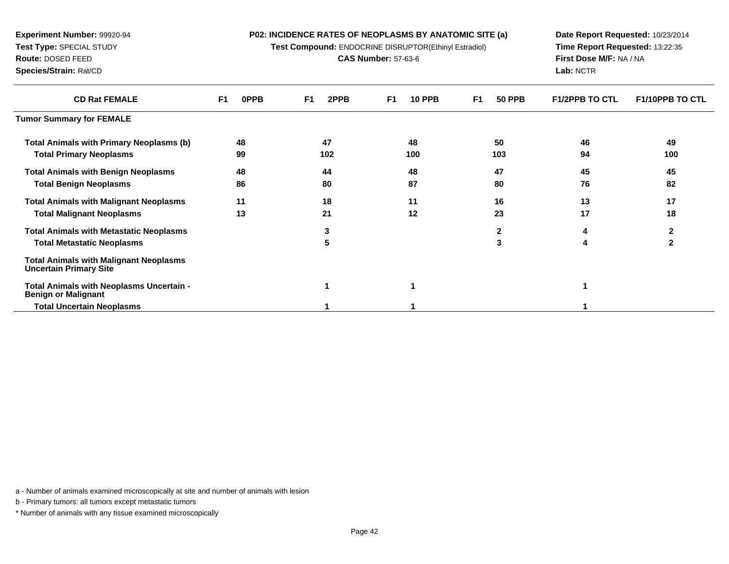| <b>P02: INCIDENCE RATES OF NEOPLASMS BY ANATOMIC SITE (a)</b> |  |  |
|---------------------------------------------------------------|--|--|
|---------------------------------------------------------------|--|--|

**Test Compound:** ENDOCRINE DISRUPTOR(Ethinyl Estradiol)

**CAS Number:** 57-63-6

**Date Report Requested:** 10/23/2014**Time Report Requested:** 13:22:35**First Dose M/F:** NA / NA**Lab:** NCTR

| <b>CD Rat FEMALE</b>                                                           | F <sub>1</sub><br>0PPB | 2PPB<br>F1 | <b>10 PPB</b><br>F1 | <b>50 PPB</b><br>F1 | <b>F1/2PPB TO CTL</b> | <b>F1/10PPB TO CTL</b> |
|--------------------------------------------------------------------------------|------------------------|------------|---------------------|---------------------|-----------------------|------------------------|
| <b>Tumor Summary for FEMALE</b>                                                |                        |            |                     |                     |                       |                        |
| <b>Total Animals with Primary Neoplasms (b)</b>                                | 48                     | 47         | 48                  | 50                  | 46                    | 49                     |
| <b>Total Primary Neoplasms</b>                                                 | 99                     | 102        | 100                 | 103                 | 94                    | 100                    |
| <b>Total Animals with Benign Neoplasms</b>                                     | 48                     | 44         | 48                  | 47                  | 45                    | 45                     |
| <b>Total Benign Neoplasms</b>                                                  | 86                     | 80         | 87                  | 80                  | 76                    | 82                     |
| <b>Total Animals with Malignant Neoplasms</b>                                  | 11                     | 18         | 11                  | 16                  | 13                    | 17                     |
| <b>Total Malignant Neoplasms</b>                                               | 13                     | 21         | 12                  | 23                  | 17                    | 18                     |
| <b>Total Animals with Metastatic Neoplasms</b>                                 |                        | 3          |                     | 2                   | 4                     | 2                      |
| <b>Total Metastatic Neoplasms</b>                                              |                        | 5          |                     | 3                   | 4                     | $\mathbf{2}$           |
| <b>Total Animals with Malignant Neoplasms</b><br><b>Uncertain Primary Site</b> |                        |            |                     |                     |                       |                        |
| Total Animals with Neoplasms Uncertain -<br><b>Benign or Malignant</b>         |                        |            |                     |                     |                       |                        |
| <b>Total Uncertain Neoplasms</b>                                               |                        |            |                     |                     |                       |                        |

a - Number of animals examined microscopically at site and number of animals with lesion

b - Primary tumors: all tumors except metastatic tumors

**Experiment Number:** 99920-94**Test Type:** SPECIAL STUDY**Route:** DOSED FEED**Species/Strain:** Rat/CD